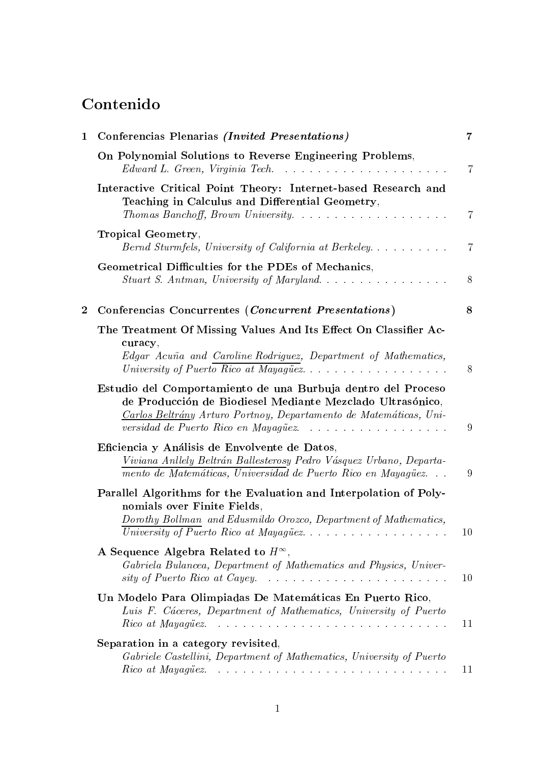# Contenido

| $\mathbf{1}$     | Conferencias Plenarias (Invited Presentations)                                                                                                                                                                                        | $\overline{7}$ |
|------------------|---------------------------------------------------------------------------------------------------------------------------------------------------------------------------------------------------------------------------------------|----------------|
|                  | On Polynomial Solutions to Reverse Engineering Problems,<br>Edward L. Green, Virginia Tech. $\ldots \ldots \ldots \ldots \ldots \ldots \ldots$                                                                                        | 7              |
|                  | Interactive Critical Point Theory: Internet-based Research and<br>Teaching in Calculus and Differential Geometry,<br>Thomas Banchoff, Brown University.                                                                               | $\overline{7}$ |
|                  | Tropical Geometry,<br>Bernd Sturmfels, University of California at Berkeley                                                                                                                                                           | $\overline{7}$ |
|                  | Geometrical Difficulties for the PDEs of Mechanics,                                                                                                                                                                                   | 8              |
| $\boldsymbol{2}$ | Conferencias Concurrentes (Concurrent Presentations)                                                                                                                                                                                  | 8              |
|                  | The Treatment Of Missing Values And Its Effect On Classifier Ac-<br>curacy,<br>Edgar Acuña and Caroline Rodriguez, Department of Mathematics,<br>University of Puerto Rico at Mayagüez                                                | 8              |
|                  | Estudio del Comportamiento de una Burbuja dentro del Proceso<br>de Producción de Biodiesel Mediante Mezclado Ultrasónico,<br>Carlos Beltrány Arturo Portnoy, Departamento de Matemáticas, Uni-<br>versidad de Puerto Rico en Mayagüez | 9              |
|                  | Eficiencia y Análisis de Envolvente de Datos,<br>Viviana Anllely Beltrán Ballesterosy Pedro Vásquez Urbano, Departa-<br>mento de Matemáticas, Universidad de Puerto Rico en Mayagüez                                                  | 9              |
|                  | Parallel Algorithms for the Evaluation and Interpolation of Poly-<br>nomials over Finite Fields,<br>Dorothy Bollman and Edusmildo Orozco, Department of Mathematics,<br>University of Puerto Rico at Mayagüez                         | 10             |
|                  | A Sequence Algebra Related to $H^{\infty}$ ,<br>Gabriela Bulancea, Department of Mathematics and Physics, Univer-                                                                                                                     | 10             |
|                  | Un Modelo Para Olimpiadas De Matemáticas En Puerto Rico,<br>Luis F. Cáceres, Department of Mathematics, University of Puerto                                                                                                          | 11             |
|                  | Separation in a category revisited,<br>Gabriele Castellini, Department of Mathematics, University of Puerto                                                                                                                           |                |
|                  |                                                                                                                                                                                                                                       | 11             |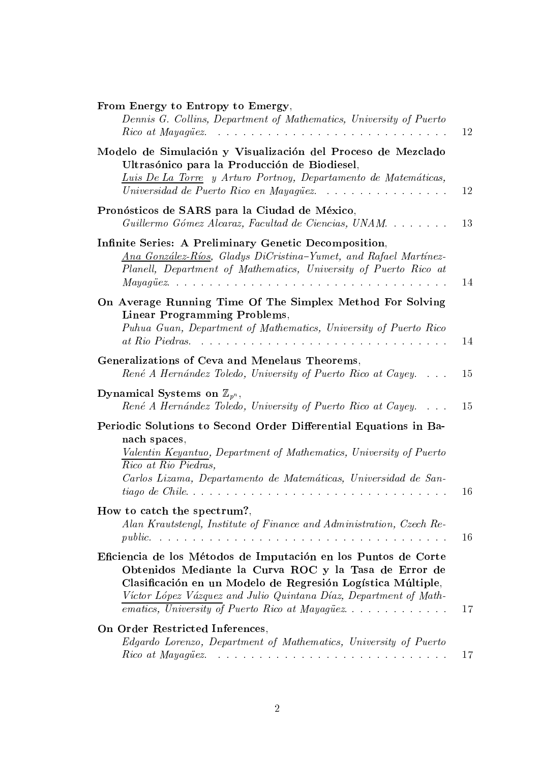| From Energy to Entropy to Emergy,<br>Dennis G. Collins, Department of Mathematics, University of Puerto                                                                                                                                                                                                       | 12 |
|---------------------------------------------------------------------------------------------------------------------------------------------------------------------------------------------------------------------------------------------------------------------------------------------------------------|----|
| Modelo de Simulación y Visualización del Proceso de Mezclado<br>Ultrasónico para la Producción de Biodiesel.<br>Luis De La Torre y Arturo Portnoy, Departamento de Matemáticas,<br>Universidad de Puerto Rico en Mayagüez                                                                                     | 12 |
| Pronósticos de SARS para la Ciudad de México,<br>Guillermo Gómez Alcaraz, Facultad de Ciencias, UNAM                                                                                                                                                                                                          | 13 |
| Infinite Series: A Preliminary Genetic Decomposition,<br>Ana González-Ríos, Gladys DiCristina-Yumet, and Rafael Martínez-<br>Planell, Department of Mathematics, University of Puerto Rico at                                                                                                                 | 14 |
| On Average Running Time Of The Simplex Method For Solving<br><b>Linear Programming Problems,</b><br>Puhua Guan, Department of Mathematics, University of Puerto Rico                                                                                                                                          | 14 |
| Generalizations of Ceva and Menelaus Theorems,<br>René A Hernández Toledo, University of Puerto Rico at Cayey                                                                                                                                                                                                 | 15 |
| Dynamical Systems on $\mathbb{Z}_{p^n}$ ,<br>René A Hernández Toledo, University of Puerto Rico at Cayey                                                                                                                                                                                                      | 15 |
| Periodic Solutions to Second Order Differential Equations in Ba-<br>nach spaces,<br>Valentin Keyantuo, Department of Mathematics, University of Puerto<br>Rico at Rio Piedras,<br>Carlos Lizama, Departamento de Matemáticas, Universidad de San-                                                             | 16 |
| How to catch the spectrum?,<br>Alan Krautstengl, Institute of Finance and Administration, Czech Re-                                                                                                                                                                                                           | 16 |
|                                                                                                                                                                                                                                                                                                               |    |
| Eficiencia de los Métodos de Imputación en los Puntos de Corte<br>Obtenidos Mediante la Curva ROC y la Tasa de Error de<br>Clasificación en un Modelo de Regresión Logística Múltiple,<br>Víctor López Vázquez and Julio Quintana Díaz, Department of Math-<br>ematics, University of Puerto Rico at Mayagüez | 17 |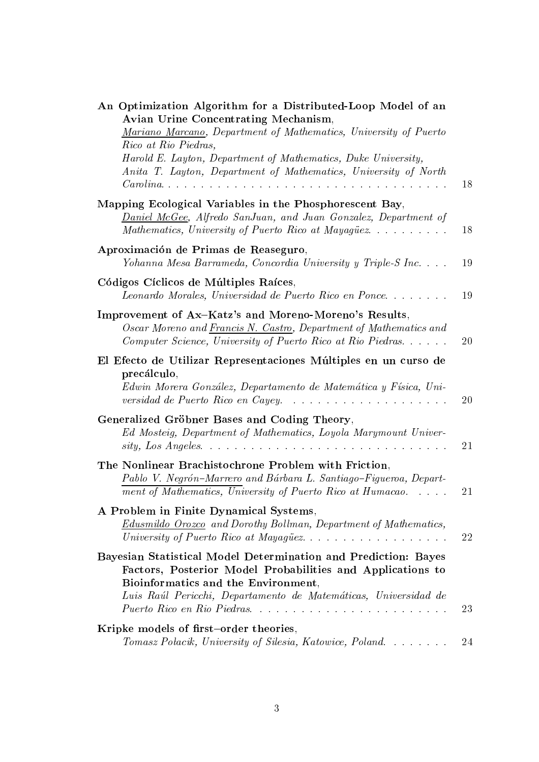| An Optimization Algorithm for a Distributed-Loop Model of an<br><b>Avian Urine Concentrating Mechanism,</b><br>Mariano Marcano, Department of Mathematics, University of Puerto<br>Rico at Rio Piedras,                                                               |           |
|-----------------------------------------------------------------------------------------------------------------------------------------------------------------------------------------------------------------------------------------------------------------------|-----------|
| Harold E. Layton, Department of Mathematics, Duke University,<br>Anita T. Layton, Department of Mathematics, University of North                                                                                                                                      | 18        |
| Mapping Ecological Variables in the Phosphorescent Bay,<br><b>Daniel McGee</b> , Alfredo SanJuan, and Juan Gonzalez, Department of<br>Mathematics, University of Puerto Rico at Mayagüez                                                                              | 18        |
| Aproximación de Primas de Reaseguro,<br>Yohanna Mesa Barrameda, Concordia University y Triple-S Inc                                                                                                                                                                   | 19        |
| Códigos Cíclicos de Múltiples Raíces,<br>Leonardo Morales, Universidad de Puerto Rico en Ponce                                                                                                                                                                        | 19        |
| Improvement of Ax-Katz's and Moreno-Moreno's Results,<br>Oscar Moreno and Francis N. Castro, Department of Mathematics and<br>Computer Science, University of Puerto Rico at Rio Piedras                                                                              | <b>20</b> |
| El Efecto de Utilizar Representaciones Múltiples en un curso de<br>precálculo,<br>Edwin Morera González, Departamento de Matemática y Física, Uni-<br>versidad de Puerto Rico en Cayey.                                                                               | 20        |
| Generalized Gröbner Bases and Coding Theory,<br>Ed Mosteig, Department of Mathematics, Loyola Marymount Univer-                                                                                                                                                       | 21        |
| The Nonlinear Brachistochrone Problem with Friction,<br>Pablo V. Negrón-Marrero and Bárbara L. Santiago-Figueroa, Depart-<br>ment of Mathematics, University of Puerto Rico at Humacao                                                                                | 21        |
| A Problem in Finite Dynamical Systems,<br><b>Edusmildo Orozco</b> and Dorothy Bollman, Department of Mathematics,                                                                                                                                                     | <b>22</b> |
| Bayesian Statistical Model Determination and Prediction: Bayes<br>Factors, Posterior Model Probabilities and Applications to<br>Bioinformatics and the Environment,<br>Luis Raúl Pericchi, Departamento de Matemáticas, Universidad de<br>Puerto Rico en Rio Piedras. | 23        |
| Kripke models of first-order theories,<br>Tomasz Połacik, University of Silesia, Katowice, Poland                                                                                                                                                                     | 24        |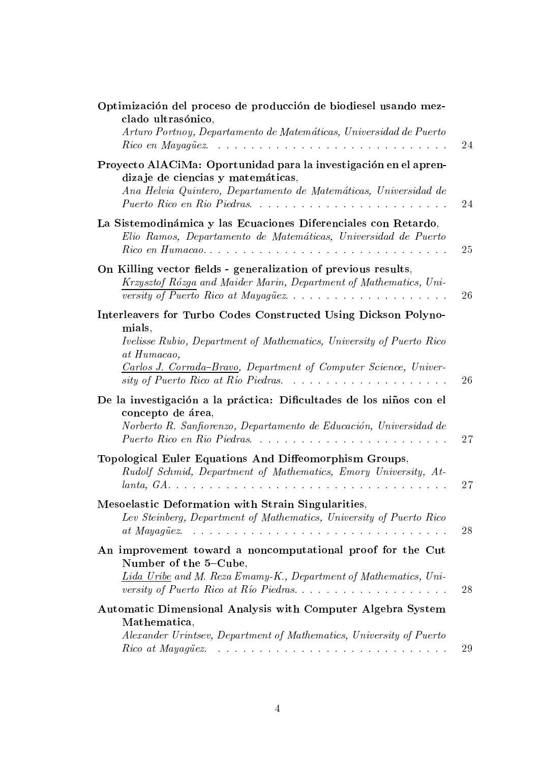| Optimización del proceso de producción de biodiesel usando mez-<br>clado ultrasónico,<br>Arturo Portnoy, Departamento de Matemáticas, Universidad de Puerto                                                                         | 24 |
|-------------------------------------------------------------------------------------------------------------------------------------------------------------------------------------------------------------------------------------|----|
| Proyecto AlACiMa: Oportunidad para la investigación en el apren-<br>dizaje de ciencias y matemáticas,<br>Ana Helvia Quintero, Departamento de Matemáticas, Universidad de<br>Puerto Rico en Rio Piedras                             | 24 |
| La Sistemodinámica y las Ecuaciones Diferenciales con Retardo,<br>Elio Ramos, Departamento de Matemáticas, Universidad de Puerto                                                                                                    | 25 |
| On Killing vector fields - generalization of previous results,<br>Krzysztof Rózga and Maider Marin, Department of Mathematics, Uni-<br>versity of Puerto Rico at Mayagüez                                                           | 26 |
| Interleavers for Turbo Codes Constructed Using Dickson Polyno-<br>mials,<br>Ivelisse Rubio, Department of Mathematics, University of Puerto Rico<br>at Humacao,<br>Carlos J. Corrada-Bravo, Department of Computer Science, Univer- | 26 |
| De la investigación a la práctica: Dificultades de los niños con el<br>concepto de área,<br>Norberto R. Sanfiorenzo, Departamento de Educación, Universidad de                                                                      | 27 |
| Topological Euler Equations And Diffeomorphism Groups,<br>Rudolf Schmid, Department of Mathematics, Emory University, At-                                                                                                           | 27 |
| Mesoelastic Deformation with Strain Singularities,<br>Lev Steinberg, Department of Mathematics, University of Puerto Rico<br>at Mayagüez.                                                                                           | 28 |
| An improvement toward a noncomputational proof for the Cut<br>Number of the 5-Cube,<br>Lida Uribe and M. Reza Emamy-K., Department of Mathematics, Uni-<br>versity of Puerto Rico at Río Piedras                                    | 28 |
| Automatic Dimensional Analysis with Computer Algebra System<br>Mathematica,<br>Alexander Urintsev, Department of Mathematics, University of Puerto                                                                                  | 29 |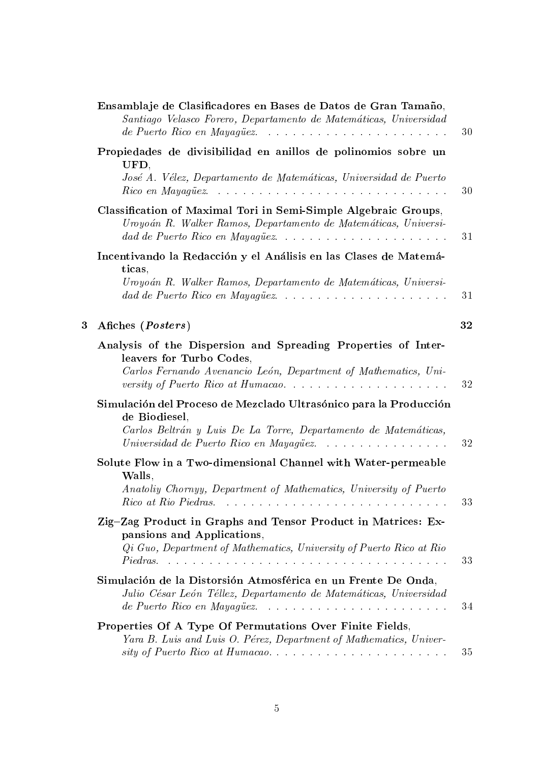|   | Ensamblaje de Clasificadores en Bases de Datos de Gran Tamaño,<br>Santiago Velasco Forero, Departamento de Matemáticas, Universidad<br>de Puerto Rico en Mayagüez                                 | 30 |
|---|---------------------------------------------------------------------------------------------------------------------------------------------------------------------------------------------------|----|
|   | Propiedades de divisibilidad en anillos de polinomios sobre un<br>UFD,<br>José A. Vélez, Departamento de Matemáticas, Universidad de Puerto<br>Rico en Mayagüez.                                  | 30 |
|   | Classification of Maximal Tori in Semi-Simple Algebraic Groups,<br>Uroyoán R. Walker Ramos, Departamento de Matemáticas, Universi-<br>dad de Puerto Rico en Mayagüez                              | 31 |
|   | Incentivando la Redacción y el Análisis en las Clases de Matemá-<br>ticas,<br>Uroyoán R. Walker Ramos, Departamento de Matemáticas, Universi-<br>dad de Puerto Rico en Mayagüez                   | 31 |
| 3 | Afiches ( <i>Posters</i> )                                                                                                                                                                        | 32 |
|   | Analysis of the Dispersion and Spreading Properties of Inter-<br>leavers for Turbo Codes,<br>Carlos Fernando Avenancio León, Department of Mathematics, Uni-<br>versity of Puerto Rico at Humacao | 32 |
|   | Simulación del Proceso de Mezclado Ultrasónico para la Producción<br>de Biodiesel,<br>Carlos Beltrán y Luis De La Torre, Departamento de Matemáticas,<br>Universidad de Puerto Rico en Mayagüez   | 32 |
|   | Solute Flow in a Two-dimensional Channel with Water-permeable<br>Walls,<br>Anatoliy Chornyy, Department of Mathematics, University of Puerto                                                      | 33 |
|   | Zig-Zag Product in Graphs and Tensor Product in Matrices: Ex-<br>pansions and Applications,<br>Qi Guo, Department of Mathematics, University of Puerto Rico at Rio                                | 33 |
|   | Simulación de la Distorsión Atmosférica en un Frente De Onda,<br>Julio César León Téllez, Departamento de Matemáticas, Universidad<br>de Puerto Rico en Mayagüez.                                 | 34 |
|   | Properties Of A Type Of Permutations Over Finite Fields,<br>Yara B. Luis and Luis O. Pérez, Department of Mathematics, Univer-                                                                    |    |
|   |                                                                                                                                                                                                   | 35 |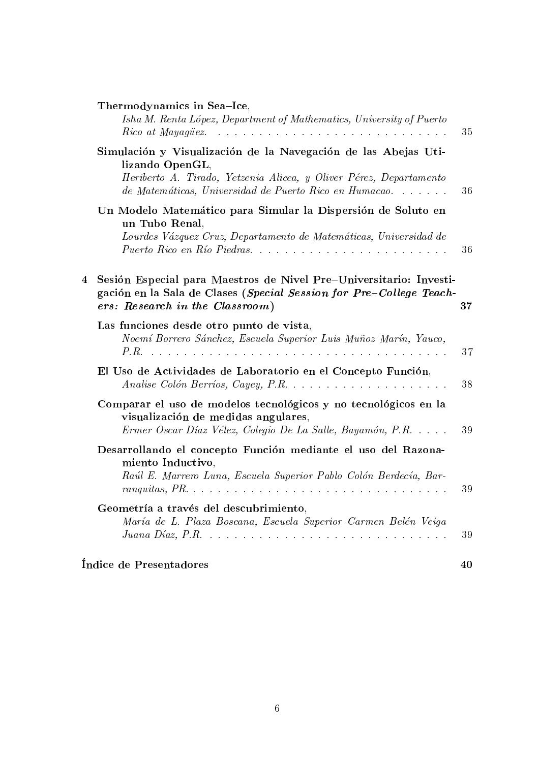|   | Thermodynamics in Sea-Ice,<br>Isha M. Renta López, Department of Mathematics, University of Puerto                                                                                                                                                                     | 35 |
|---|------------------------------------------------------------------------------------------------------------------------------------------------------------------------------------------------------------------------------------------------------------------------|----|
|   | Simulación y Visualización de la Navegación de las Abejas Uti-<br>lizando OpenGL,<br>Heriberto A. Tirado, Yetzenia Alicea, y Oliver Pérez, Departamento<br>de Matemáticas, Universidad de Puerto Rico en Humacao                                                       | 36 |
|   | Un Modelo Matemático para Simular la Dispersión de Soluto en<br>un Tubo Renal,<br>Lourdes Vázquez Cruz, Departamento de Matemáticas, Universidad de<br>Puerto Rico en Río Piedras                                                                                      | 36 |
| 4 | Sesión Especial para Maestros de Nivel Pre-Universitario: Investi-<br>gación en la Sala de Clases (Special Session for Pre-College Teach-<br>ers: Research in the Classroom)                                                                                           | 37 |
|   | Las funciones desde otro punto de vista,<br>Noemí Borrero Sánchez, Escuela Superior Luis Muñoz Marín, Yauco,                                                                                                                                                           | 37 |
|   | El Uso de Actividades de Laboratorio en el Concepto Función,                                                                                                                                                                                                           | 38 |
|   | Comparar el uso de modelos tecnológicos y no tecnológicos en la<br>visualización de medidas angulares,<br>Ermer Oscar Díaz Vélez, Colegio De La Salle, Bayamón, P.R.                                                                                                   | 39 |
|   | Desarrollando el concepto Función mediante el uso del Razona-<br>miento Inductivo,<br>Raúl E. Marrero Luna, Escuela Superior Pablo Colón Berdecía, Bar-<br>ranguitas, $PR. \ldots \ldots \ldots \ldots \ldots \ldots \ldots \ldots \ldots \ldots \ldots \ldots \ldots$ | 39 |
|   | Geometría a través del descubrimiento,<br>María de L. Plaza Boscana, Escuela Superior Carmen Belén Veiga                                                                                                                                                               | 39 |
|   | Índice de Presentadores                                                                                                                                                                                                                                                | 40 |

#### 6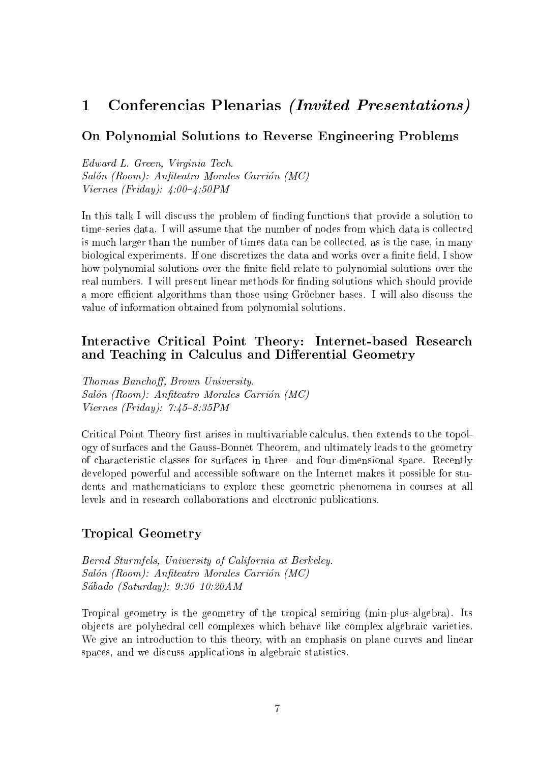#### Conferencias Plenarias *(Invited Presentations)*  $\mathbf{1}$

#### On Polynomial Solutions to Reverse Engineering Problems

Edward L. Green, Virginia Tech. Salón (Room): Anfiteatro Morales Carrión (MC) Viernes (Friday):  $4:00-4:50PM$ 

In this talk I will discuss the problem of finding functions that provide a solution to time-series data. I will assume that the number of nodes from which data is collected is much larger than the number of times data can be collected, as is the case, in many biological experiments. If one discretizes the data and works over a finite field, I show how polynomial solutions over the finite field relate to polynomial solutions over the real numbers. I will present linear methods for finding solutions which should provide a more efficient algorithms than those using Gröebner bases. I will also discuss the value of information obtained from polynomial solutions.

#### Interactive Critical Point Theory: Internet-based Research and Teaching in Calculus and Differential Geometry

Thomas Banchoff, Brown University. Salón (Room): Anfiteatro Morales Carrión (MC) Viernes (Friday):  $7:45-8:35PM$ 

Critical Point Theory first arises in multivariable calculus, then extends to the topology of surfaces and the Gauss-Bonnet Theorem, and ultimately leads to the geometry of characteristic classes for surfaces in three- and four-dimensional space. Recently developed powerful and accessible software on the Internet makes it possible for students and mathematicians to explore these geometric phenomena in courses at all levels and in research collaborations and electronic publications.

#### Tropical Geometry

Bernd Sturmfels, University of California at Berkeley. Salón (Room): Anfiteatro Morales Carrión (MC)  $Sába do$  (Saturday):  $9:30-10:20AM$ 

Tropical geometry is the geometry of the tropical semiring (min-plus-algebra). Its ob jects are polyhedral cell complexes which behave like complex algebraic varieties. We give an introduction to this theory, with an emphasis on plane curves and linear spaces, and we discuss applications in algebraic statistics.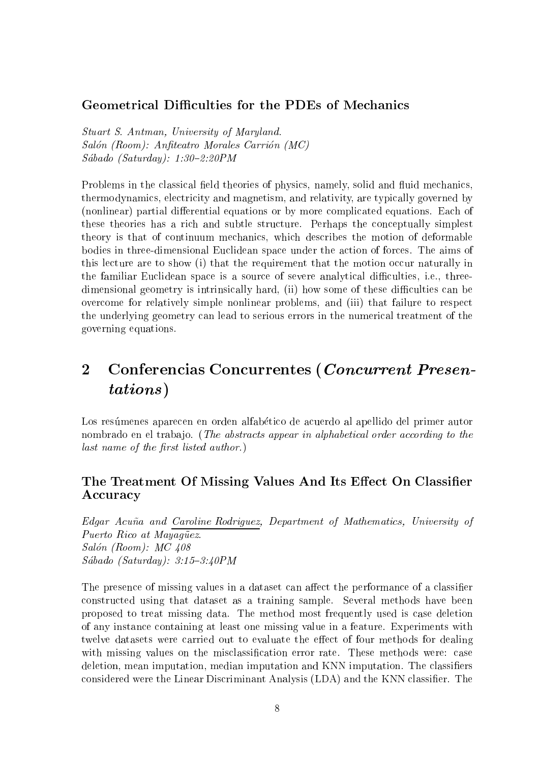#### **Geometrical Difficulties for the PDEs of Mechanics**

Stuart S. Antman, University of Maryland. Salón (Room): Anfiteatro Morales Carrión (MC)  $Sába do$  (Saturday): 1:30-2:20PM

Problems in the classical field theories of physics, namely, solid and fluid mechanics, thermodynamics, electricity and magnetism, and relativity, are typically governed by (nonlinear) partial differential equations or by more complicated equations. Each of these theories has a rich and subtle structure. Perhaps the conceptually simplest theory is that of continuum mechanics, which describes the motion of deformable bodies in three-dimensional Euclidean space under the action of forces. The aims of this lecture are to show (i) that the requirement that the motion occur naturally in the familiar Euclidean space is a source of severe analytical difficulties, i.e., threedimensional geometry is intrinsically hard, (ii) how some of these difficulties can be overcome for relatively simple nonlinear problems, and (iii) that failure to respect the underlying geometry can lead to serious errors in the numerical treatment of the governing equations.

# 2 Conferencias Concurrentes (Concurrent Presen $t \sim t$  ,  $t \sim t$  ,  $t \sim t$

Los resúmenes aparecen en orden alfabético de acuerdo al apellido del primer autor nombrado en el trabajo. (The abstracts appear in alphabetical order according to the  $last\ name\ of\ the\ first\ listed\ author.)$ 

#### The Treatment Of Missing Values And Its Effect On Classifier Accuracy

Edgar Acuña and Caroline Rodriguez, Department of Mathematics, University of Puerto Rico at Mayagüez. Salón (Room):  $MC$  408  $Sába do$  (Saturday):  $3:15-3:40PM$ 

The presence of missing values in a dataset can affect the performance of a classifier constructed using that dataset as a training sample. Several methods have been proposed to treat missing data. The method most frequently used is case deletion of any instance containing at least one missing value in a feature. Experiments with twelve datasets were carried out to evaluate the effect of four methods for dealing with missing values on the misclassification error rate. These methods were: case deletion, mean imputation, median imputation and KNN imputation. The classifiers considered were the Linear Discriminant Analysis (LDA) and the KNN classifier. The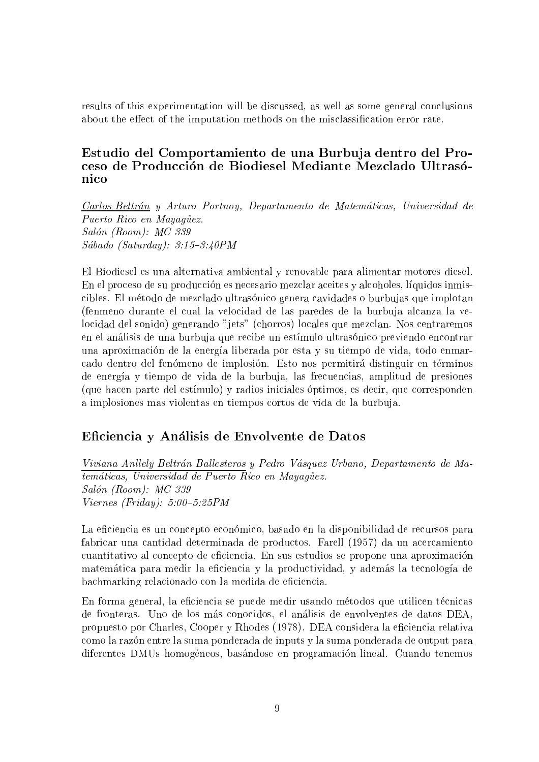results of this experimentation will be discussed, as well as some general conclusions about the effect of the imputation methods on the misclassification error rate.

#### Estudio del Comportamiento de una Burbuja dentro del Proceso de Produccion de Biodiesel Mediante Mezclado Ultrasonico

Carlos Beltrán y Arturo Portnoy, Departamento de Matemáticas, Universidad de Puerto Rico en Mayagüez. Salón (Room): MC 339  $Sába do$  (Saturday):  $3:15-3:40PM$ 

El Biodiesel es una alternativa ambiental y renovable para alimentar motores diesel. En el proceso de su produccion es necesario mezclar aceites y alcoholes, lquidos inmiscibles. El método de mezclado ultrasónico genera cavidades o burbujas que implotan (fenmeno durante el cual la velocidad de las paredes de la burbuja alcanza la velocidad del sonido) generando "jets" (chorros) locales que mezclan. Nos centraremos en el análisis de una burbuja que recibe un estímulo ultrasónico previendo encontrar una aproximacion de la energa liberada por esta y su tiempo de vida, todo enmarcado dentro del fenómeno de implosión. Esto nos permitirá distinguir en términos de energía y tiempo de vida de la burbuja, las frecuencias, amplitud de presiones (que hacen parte del estmulo) y radios iniciales optimos, es decir, que corresponden a implosiones mas violentas en tiempos cortos de vida de la burbuja.

#### Eciencia y Analisis de Envolvente de Datos

Viviana Anllely Beltrán Ballesteros y Pedro Vásquez Urbano, Departamento de Matemáticas, Universidad de Puerto Rico en Mayagüez. Salón (Room): MC 339  $Viernes$  (Friday): 5:00-5:25PM

La eficiencia es un concepto económico, basado en la disponibilidad de recursos para fabricar una cantidad determinada de productos. Farell (1957) da un acercamiento cuantitativo al concepto de eficiencia. En sus estudios se propone una aproximación matemática para medir la eficiencia y la productividad, y además la tecnología de bachmarking relacionado con la medida de eficiencia.

En forma general, la eficiencia se puede medir usando métodos que utilicen técnicas de fronteras. Uno de los mas conocidos, el analisis de envolventes de datos DEA, propuesto por Charles, Cooper y Rhodes (1978). DEA considera la eficiencia relativa como la razon entre la suma ponderada de inputs y la suma ponderada de output para diferentes DMUs homogeneos, basandose en programacion lineal. Cuando tenemos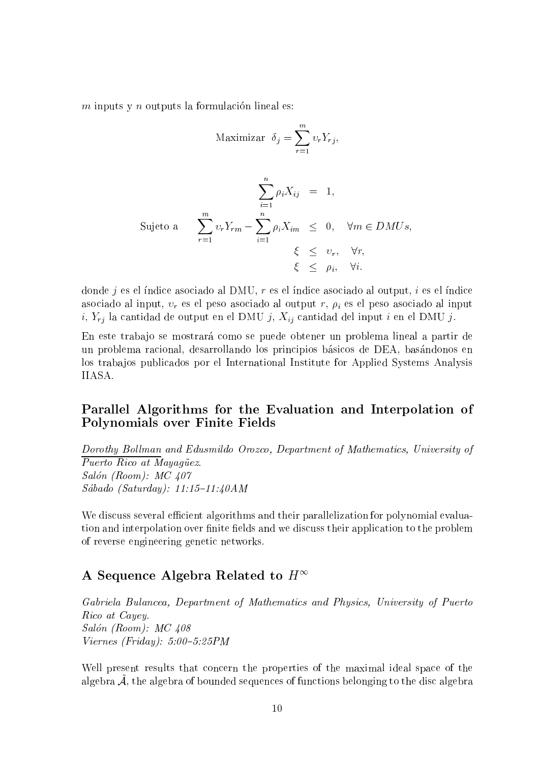$m$  inputs y  $n$  outputs la formulación lineal es:

Maximizar 
$$
\delta_j = \sum_{r=1}^m v_r Y_{rj}
$$
,  
\n
$$
\sum_{i=1}^n \rho_i X_{ij} = 1,
$$
\nSujeto a  
\n
$$
\sum_{r=1}^m v_r Y_{rm} - \sum_{i=1}^n \rho_i X_{im} \leq 0, \quad \forall m \in DMUs,
$$
\n
$$
\xi \leq v_r, \quad \forall r,
$$
\n
$$
\xi \leq \rho_i, \quad \forall i.
$$

donde  $j$  es el índice asociado al DMU,  $r$  es el índice asociado al output,  $i$  es el índice asociado al input,  $v_r$  es el peso asociado al output r,  $\rho_i$  es el peso asociado al input i,  $Y_{rj}$  la cantidad de output en el DMU j,  $X_{ij}$  cantidad del input i en el DMU j.

En este trabajo se mostrará como se puede obtener un problema lineal a partir de un problema racional, desarrollando los principios basicos de DEA, basandonos en los traba jos publicados por el International Institute for Applied Systems Analysis IIASA.

#### Parallel Algorithms for the Evaluation and Interpolation of Polynomials over Finite Fields

Dorothy Bollman and Edusmildo Orozco, Department of Mathematics, University of Puerto Rico at Mayagüez. Salón (Room): MC 407 Sábado (Saturday):  $11:15-11:40AM$ 

We discuss several efficient algorithms and their parallelization for polynomial evaluation and interpolation over finite fields and we discuss their application to the problem of reverse engineering genetic networks.

#### A Sequence Algebra Related to  $H^{\infty}$

Gabriela Bulancea, Department of Mathematics and Physics, University of Puerto Rico at Cayey. Salón (Room): MC 408  $Viernes$  (Friday): 5:00-5:25PM

Well present results that concern the properties of the maximal ideal space of the algebra A~ , the algebra of bounded sequences of functions belonging to the disc algebra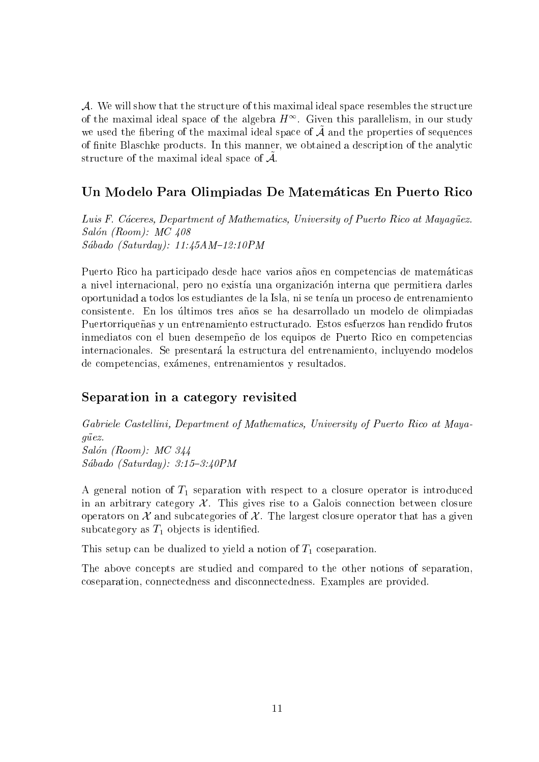A. We will show that the structure of this maximal ideal space resembles the structure of the maximal ideal space of the algebra  $\pi$  . Given this parallelism, in our study we used the moeffing of the maximal ideal space of  $\mathcal A$  and the properties of sequences of finite Blaschke products. In this manner, we obtained a description of the analytic structure of the maximal ideal space of  $\mathcal{A}$ .

#### Un Modelo Para Olimpiadas De Matematicas En Puerto Rico

Luis F. Cáceres, Department of Mathematics, University of Puerto Rico at Mayagüez. Salón (Room):  $MC$  408 Sábado (Saturday):  $11:45AM-12:10PM$ 

Puerto Rico ha participado desde hace varios años en competencias de matemáticas a nivel internacional, pero no exista una organizacion interna que permitiera darles oportunidad a todos los estudiantes de la Isla, ni se tenía un proceso de entrenamiento consistente. En los últimos tres años se ha desarrollado un modelo de olimpiadas Puertorriqueñas y un entrenamiento estructurado. Estos esfuerzos han rendido frutos inmediatos con el buen desempeño de los equipos de Puerto Rico en competencias internacionales. Se presentará la estructura del entrenamiento, incluyendo modelos de competencias, examenes, entrenamientos y resultados.

#### Separation in a category revisited

Gabriele Castellini, Department of Mathematics, University of Puerto Rico at Mayaguez. Salón (Room): MC 344  $Sába do$  (Saturday):  $3:15-3:40PM$ 

A general notion of  $T_1$  separation with respect to a closure operator is introduced in an arbitrary category  $\mathcal{X}$ . This gives rise to a Galois connection between closure operators on  $\mathcal X$  and subcategories of  $\mathcal X$ . The largest closure operator that has a given subcategory as  $T_1$  objects is identified.

This setup can be dualized to yield a notion of  $T_1$  coseparation.

The above concepts are studied and compared to the other notions of separation, coseparation, connectedness and disconnectedness. Examples are provided.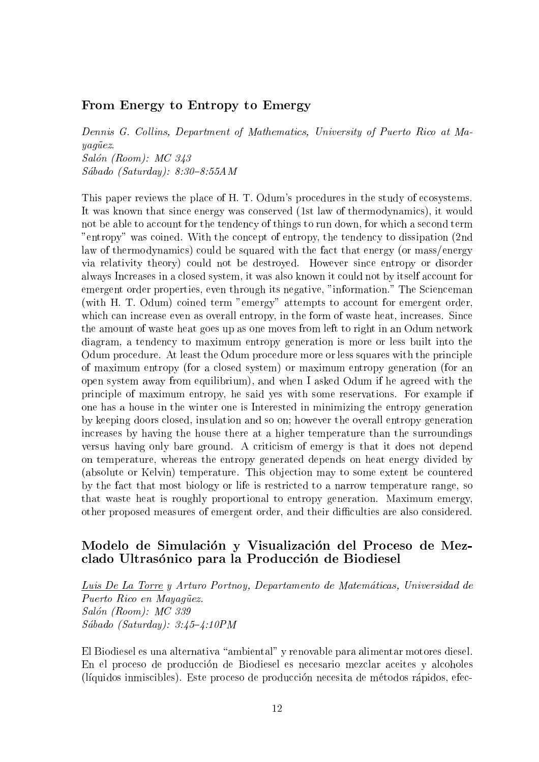#### From Energy to Entropy to Emergy

Dennis G. Collins, Department of Mathematics, University of Puerto Rico at Ma $y a q \ddot{u} e z.$ Salón (Room): MC 343  $Sába do (Saturday): 8:30-8:55AM$ 

This paper reviews the place of H. T. Odum's procedures in the study of ecosystems. It was known that since energy was conserved (1st law of thermodynamics), it would not be able to account for the tendency of things to run down, for which a second term "entropy" was coined. With the concept of entropy, the tendency to dissipation (2nd law of thermodynamics) could be squared with the fact that energy (or mass/energy via relativity theory) could not be destroyed. However since entropy or disorder always Increases in a closed system, it was also known it could not by itself account for emergent order properties, even through its negative, "information." The Scienceman (with H. T. Odum) coined term "emergy" attempts to account for emergent order, which can increase even as overall entropy, in the form of waste heat, increases. Since the amount of waste heat goes up as one moves from left to right in an Odum network diagram, a tendency to maximum entropy generation is more or less built into the Odum procedure. At least the Odum procedure more or less squares with the principle of maximum entropy (for a closed system) or maximum entropy generation (for an open system away from equilibrium), and when I asked Odum if he agreed with the principle of maximum entropy, he said yes with some reservations. For example if one has a house in the winter one is Interested in minimizing the entropy generation by keeping doors closed, insulation and so on; however the overall entropy generation increases by having the house there at a higher temperature than the surroundings versus having only bare ground. A criticism of emergy is that it does not depend on temperature, whereas the entropy generated depends on heat energy divided by (absolute or Kelvin) temperature. This objection may to some extent be countered by the fact that most biology or life is restricted to a narrow temperature range, so that waste heat is roughly proportional to entropy generation. Maximum emergy, other proposed measures of emergent order, and their difficulties are also considered.

#### Modelo de Simulación y Visualización del Proceso de Mezclado Ultrasónico para la Producción de Biodiesel

Luis De La Torre <sup>y</sup> Arturo Portnoy, Departamento de Matematicas, Universidad de Puerto Rico en Mayagüez. Salón (Room): MC 339  $Sábado (Saturday): 3:45-4:10PM$ 

El Biodiesel es una alternativa "ambiental" y renovable para alimentar motores diesel. En el proceso de produccion de Biodiesel es necesario mezclar aceites y alcoholes (líquidos inmiscibles). Este proceso de producción necesita de métodos rápidos, efec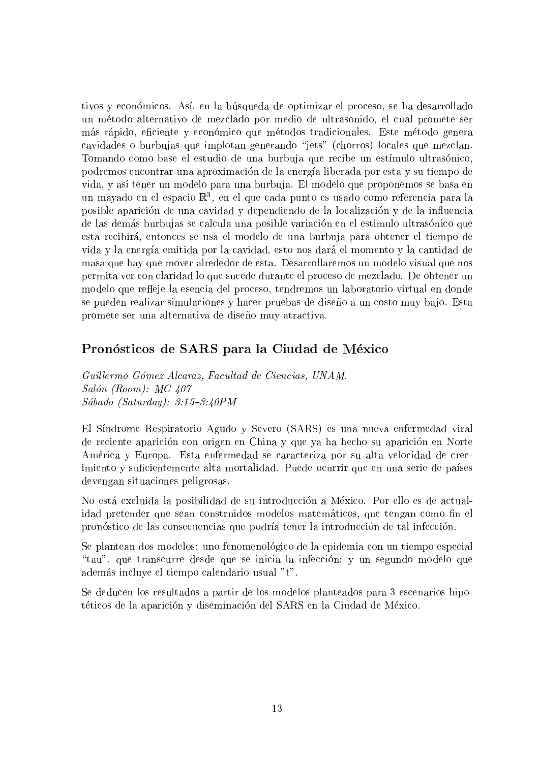tivos y económicos. Así, en la búsqueda de optimizar el proceso, se ha desarrollado un metodo alternativo de mezclado por medio de ultrasonido, el cual promete ser más rápido, eficiente y económico que métodos tradicionales. Este método genera cavidades o burbujas que implotan generando "jets" (chorros) locales que mezclan. Tomando como base el estudio de una burbuja que recibe un estímulo ultrasónico, podremos encontrar una aproximación de la energía liberada por esta y su tiempo de vida, y así tener un modelo para una burbuja. El modelo que proponemos se basa en un mayado en el espacio <sup>R</sup><sup>3</sup> , en el que cada punto es usado como referencia para la posible aparicion de una cavidad y dependiendo de la localizacion y de la in
uencia de las demás burbujas se calcula una posible variación en el estimulo ultrasónico que esta recibira, entonces se usa el modelo de una burbuja para obtener el tiempo de vida y la energa emitida por la cavidad, esto nos dara el momento y la cantidad de masa que hay que mover alrededor de esta. Desarrollaremos un modelo visual que nos permita ver con claridad lo que sucede durante el proceso de mezclado. De obtener un modelo que refleje la esencia del proceso, tendremos un laboratorio virtual en donde se pueden realizar simulaciones y hacer pruebas de diseño a un costo muy bajo. Esta promete ser una alternativa de diseño muy atractiva.

#### Pronósticos de SARS para la Ciudad de México

Guil lermo Gomez Alcaraz, Facultad de Ciencias, UNAM. Salón (Room): MC 407  $Sába do$  (Saturday):  $3:15-3:40PM$ 

El Síndrome Respiratorio Agudo y Severo (SARS) es una nueva enfermedad viral de reciente aparicion con origen en China y que ya ha hecho su aparicion en Norte America y Europa. Esta enfermedad se caracteriza por su alta velocidad de crecimiento y suficientemente alta mortalidad. Puede ocurrir que en una serie de países devengan situaciones peligrosas.

No esta excluida la posibilidad de su introduccion a Mexico. Por ello es de actualidad pretender que sean construidos modelos matemáticos, que tengan como fin el pronostico de las consecuencias que podra tener la introduccion de tal infeccion.

Se plantean dos modelos: uno fenomenologico de la epidemia con un tiempo especial "tau", que transcurre desde que se inicia la infección; y un segundo modelo que ademas incluye el tiempo calendario usual "t".

Se deducen los resultados a partir de los modelos planteados para 3 escenarios hipotéticos de la aparición y diseminación del SARS en la Ciudad de México.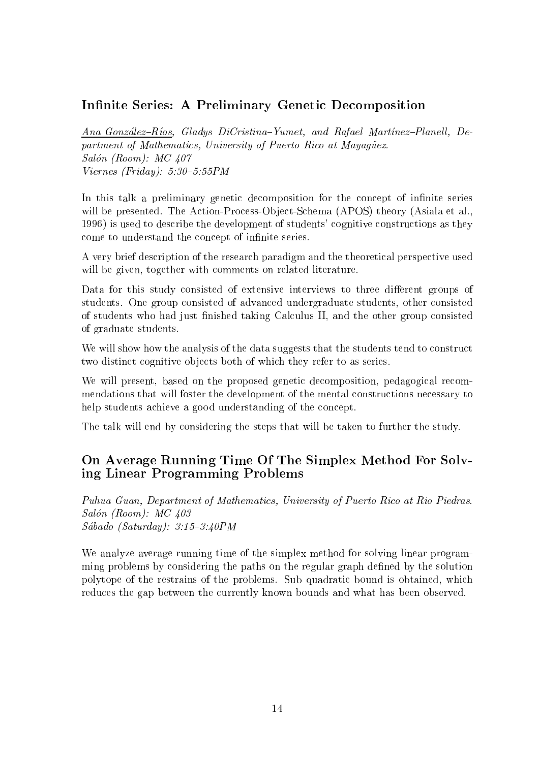#### Infinite Series: A Preliminary Genetic Decomposition

Ana González-Ríos, Gladys DiCristina-Yumet, and Rafael Martinez-Planell, Department of Mathematics, University of Puerto Rico at Mayagüez. Salón (Room):  $MC$  407 Viernes (Friday):  $5:30-5:55PM$ 

In this talk a preliminary genetic decomposition for the concept of infinite series will be presented. The Action-Process-Object-Schema (APOS) theory (Asiala et al., 1996) is used to describe the development of students' cognitive constructions as they come to understand the concept of infinite series.

A very brief description of the research paradigm and the theoretical perspective used will be given, together with comments on related literature.

Data for this study consisted of extensive interviews to three different groups of students. One group consisted of advanced undergraduate students, other consisted of students who had just finished taking Calculus II, and the other group consisted of graduate students.

We will show how the analysis of the data suggests that the students tend to construct two distinct cognitive objects both of which they refer to as series.

We will present, based on the proposed genetic decomposition, pedagogical recommendations that will foster the development of the mental constructions necessary to help students achieve a good understanding of the concept.

The talk will end by considering the steps that will be taken to further the study.

#### On Average Running Time Of The Simplex Method For Solving Linear Programming Problems

Puhua Guan, Department of Mathematics, University of Puerto Rico at Rio Piedras. Salón (Room):  $MC$  403  $Sába do$  (Saturday):  $3:15-3:40PM$ 

We analyze average running time of the simplex method for solving linear programming problems by considering the paths on the regular graph defined by the solution polytope of the restrains of the problems. Sub quadratic bound is obtained, which reduces the gap between the currently known bounds and what has been observed.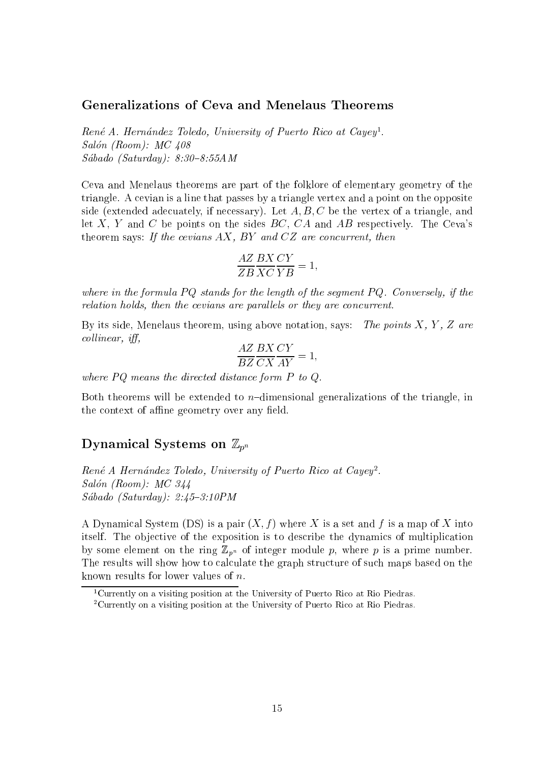#### Generalizations of Ceva and Menelaus Theorems

Rene A. Hernandez Toledo, University of Puerto Rico at Cayey1 .  $Salón (Room): MC 408$  $Sába do$  (Saturday):  $8:30-8:55AM$ 

Ceva and Menelaus theorems are part of the folklore of elementary geometry of the triangle. A cevian is a line that passes by a triangle vertex and a point on the opposite side (extended adecuately, if necessary). Let  $A, B, C$  be the vertex of a triangle, and let X, Y and C be points on the sides  $BC$ ,  $CA$  and  $AB$  respectively. The Ceva's theorem says: If the cevians  $AX$ , BY and  $CZ$  are concurrent, then

$$
\frac{AZ}{ZB}\frac{BX}{XC}\frac{CY}{YB} = 1,
$$

where in the formula  $PQ$  stands for the length of the segment  $PQ$ . Conversely, if the relation holds, then the cevians are parallels or they are concurrent.

By its side, Menelaus theorem, using above notation, says: The points  $X, Y, Z$  are  $collinear, if<sub>f</sub>,$ 

$$
\frac{AZ}{BZ}\frac{BX}{CX}\frac{CY}{AY} = 1,
$$

where PQ means the directed distance form P to Q.<br>Both theorems will be extended to n-dimensional generalizations of the triangle, in the context of affine geometry over any field.

#### Dynamical Systems on  $\mathbb{Z}_{p^n}$

 $Ren\acute{e}$  A Hernández Toledo, University of Puerto Rico at Cayey<sup>2</sup>. Salón (Room): MC 344  $Sába do$  (Saturday):  $2:45-3:10PM$ 

A Dynamical System (DS) is a pair  $(X, f)$  where X is a set and f is a map of X into itself. The objective of the exposition is to describe the dynamics of multiplication by some element on the ring  $\mathbb{Z}_{p^n}$  of integer module p, where p is a prime number. The results will show how to calculate the graph structure of such maps based on the known results for lower values of n.

<sup>1</sup>Currently on a visiting position at the University of Puerto Rico at Rio Piedras.

<sup>2</sup>Currently on a visiting position at the University of Puerto Rico at Rio Piedras.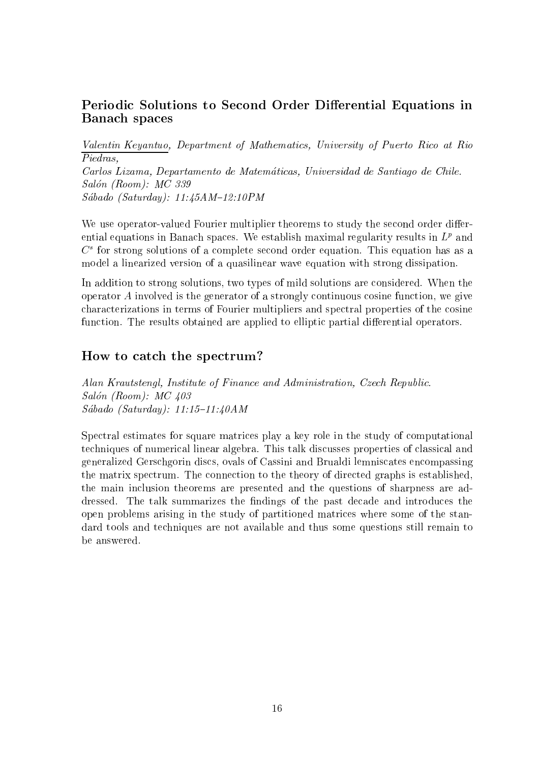#### Periodic Solutions to Second Order Differential Equations in Banach spaces

Valentin Keyantuo, Department of Mathematics, University of Puerto Rico at Rio Piedras. Piedras, Carlos Lizama, Departamento de Matematicas, Universidad de Santiago de Chile. Salón (Room): MC 339  $Sábado (Saturday): 11:45AM-12:10PM$ 

We use operator-valued Fourier multiplier theorems to study the second order differential equations in Banach spaces. We establish maximal regularity results in  $L^p$  and  $C^\pm$  for strong solutions of a complete second order equation. This equation has as a model a linearized version of a quasilinear wave equation with strong dissipation.

In addition to strong solutions, two types of mild solutions are considered. When the operator A involved is the generator of a strongly continuous cosine function, we give characterizations in terms of Fourier multipliers and spectral properties of the cosine function. The results obtained are applied to elliptic partial differential operators.

#### How to catch the spectrum?

Alan Krautstengl, Institute of Finance and Administration, Czech Republic. Salón (Room):  $MC$  403  $Sába do$  (Saturday): 11:15-11:40AM

Spectral estimates for square matrices play a key role in the study of computational techniques of numerical linear algebra. This talk discusses properties of classical and generalized Gerschgorin discs, ovals of Cassini and Brualdi lemniscates encompassing the matrix spectrum. The connection to the theory of directed graphs is established, the main inclusion theorems are presented and the questions of sharpness are addressed. The talk summarizes the findings of the past decade and introduces the open problems arising in the study of partitioned matrices where some of the standard tools and techniques are not available and thus some questions still remain to be answered.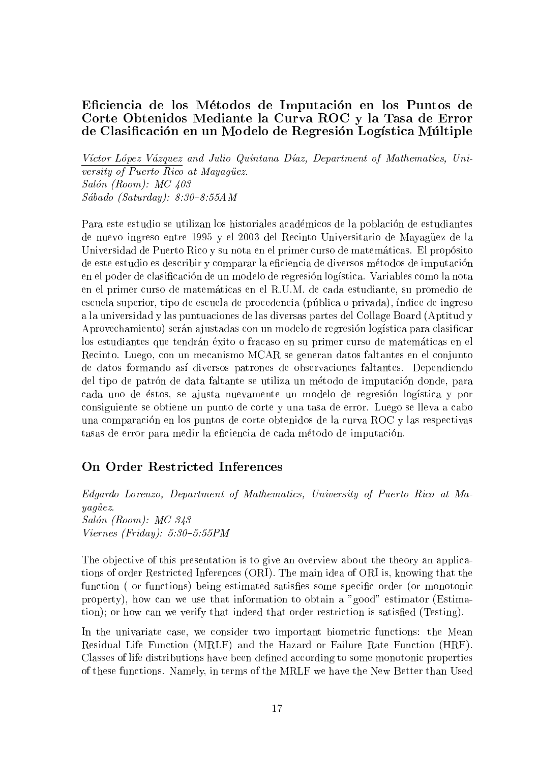#### Eciencia de los Metodos de Imputacion en los Puntos de Corte Obtenidos Mediante la Curva ROC y la Tasa de Error de Clasificación en un Modelo de Regresión Logística Múltiple

Víctor López Vázquez and Julio Quintana Díaz, Department of Mathematics, University of Puerto  $Rico$  at Mayagüez.  $Salón (Room): MC 403$ Sábado (Saturday):  $8:30-8:55AM$ 

Para este estudio se utilizan los historiales académicos de la población de estudiantes de nuevo ingreso entre 1995 y el 2003 del Recinto Universitario de Mayaguez de la Universidad de Puerto Rico y su nota en el primer curso de matemáticas. El propósito de este estudio es describir y comparar la eficiencia de diversos métodos de imputación en el poder de clasificación de un modelo de regresión logística. Variables como la nota en el primer curso de matematicas en el R.U.M. de cada estudiante, su promedio de escuela superior, tipo de escuela de procedencia (pública o privada), índice de ingreso a la universidad y las puntuaciones de las diversas partes del Collage Board (Aptitud y Aprovechamiento) serán a justadas con un modelo de regresión logística para clasificar los estudiantes que tendran exito o fracaso en su primer curso de matematicas en el Recinto. Luego, con un mecanismo MCAR se generan datos faltantes en el conjunto de datos formando asdiversos patrones de observaciones faltantes. Dependiendo del tipo de patrón de data faltante se utiliza un método de imputación donde, para cada uno de éstos, se a justa nuevamente un modelo de regresión logística y por consiguiente se obtiene un punto de corte y una tasa de error. Luego se lleva a cabo una comparacion en los puntos de corte obtenidos de la curva ROC y las respectivas tasas de error para medir la eficiencia de cada método de imputación.

#### On Order Restricted Inferences

Edgardo Lorenzo, Department of Mathematics, University of Puerto Rico at Ma $yaq\ddot{u}ez.$  $Salón (Room): MC 343$  $Viernes$  (Friday): 5:30-5:55PM

The objective of this presentation is to give an overview about the theory an applications of order Restricted Inferences (ORI). The main idea of ORI is, knowing that the function (or functions) being estimated satisfies some specific order (or monotonic property), how can we use that information to obtain a "good" estimator (Estimation); or how can we verify that indeed that order restriction is satisfied (Testing).

In the univariate case, we consider two important biometric functions: the Mean Residual Life Function (MRLF) and the Hazard or Failure Rate Function (HRF). Classes of life distributions have been defined according to some monotonic properties of these functions. Namely, in terms of the MRLF we have the New Better than Used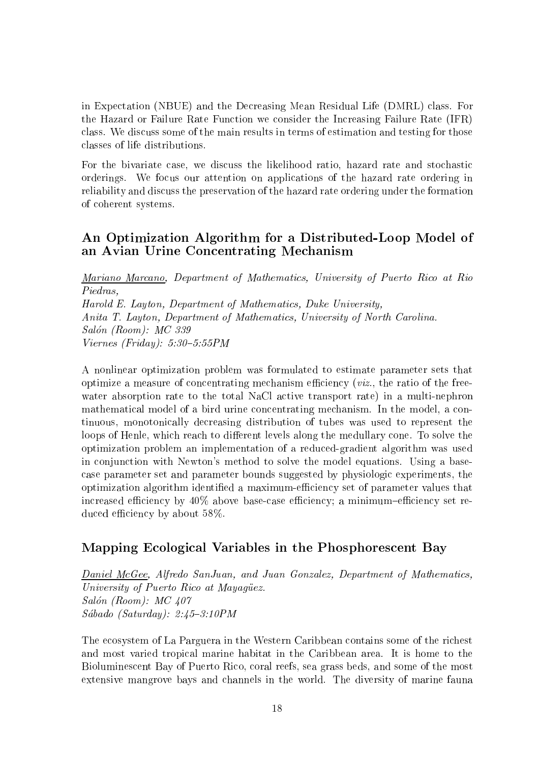in Expectation (NBUE) and the Decreasing Mean Residual Life (DMRL) class. For the Hazard or Failure Rate Function we consider the Increasing Failure Rate (IFR) class. We discuss some of the main results in terms of estimation and testing for those classes of life distributions.

For the bivariate case, we discuss the likelihood ratio, hazard rate and stochastic orderings. We focus our attention on applications of the hazard rate ordering in reliability and discuss the preservation of the hazard rate ordering under the formation of coherent systems.

#### An Optimization Algorithm for a Distributed-Loop Model of an Avian Urine Concentrating Mechanism

Mariano Marcano, Department of Mathematics, University of Puerto Rico at Rio Piedras, Harold E. Layton, Department of Mathematics, Duke University, Anita T. Layton, Department of Mathematics, University of North Carolina. Salón (Room): MC 339  $Viernes$  (Friday): 5:30-5:55PM

A nonlinear optimization problem was formulated to estimate parameter sets that optimize a measure of concentrating mechanism efficiency (*viz.*, the ratio of the freewater absorption rate to the total NaCl active transport rate) in a multi-nephron mathematical model of a bird urine concentrating mechanism. In the model, a continuous, monotonically decreasing distribution of tubes was used to represent the loops of Henle, which reach to different levels along the medullary cone. To solve the optimization problem an implementation of a reduced-gradient algorithm was used in conjunction with Newton's method to solve the model equations. Using a basecase parameter set and parameter bounds suggested by physiologic experiments, the optimization algorithm identified a maximum-efficiency set of parameter values that increased efficiency by  $40\%$  above base-case efficiency; a minimum-efficiency set reduced efficiency by about 58%.

#### Mapping Ecological Variables in the Phosphorescent Bay

Daniel McGee, Alfredo SanJuan, and Juan Gonzalez, Department of Mathematics, University of Puerto Rico at Mayagüez. Salón (Room): MC 407  $Sába do$  (Saturday):  $2:45-3:10PM$ 

The ecosystem of La Parguera in the Western Caribbean contains some of the richest and most varied tropical marine habitat in the Caribbean area. It is home to the Bioluminescent Bay of Puerto Rico, coral reefs, sea grass beds, and some of the most extensive mangrove bays and channels in the world. The diversity of marine fauna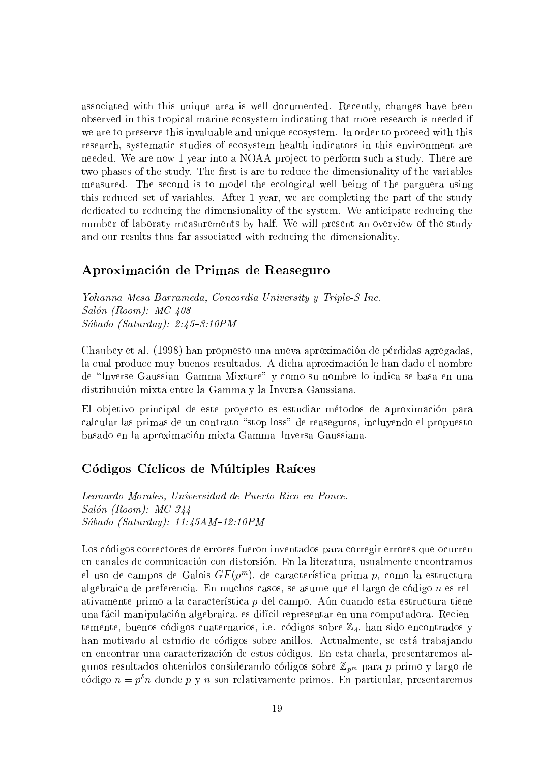associated with this unique area is well documented. Recently, changes have been observed in this tropical marine ecosystem indicating that more research is needed if we are to preserve this invaluable and unique ecosystem. In order to proceed with this research, systematic studies of ecosystem health indicators in this environment are needed. We are now 1 year into a NOAA project to perform such a study. There are two phases of the study. The first is are to reduce the dimensionality of the variables measured. The second is to model the ecological well being of the parguera using this reduced set of variables. After 1 year, we are completing the part of the study dedicated to reducing the dimensionality of the system. We anticipate reducing the number of laboraty measurements by half. We will present an overview of the study and our results thus far associated with reducing the dimensionality.

#### Aproximacion de Primas de Reaseguro

Yohanna Mesa Barrameda, Concordia University y Triple-S Inc. Salón (Room):  $MC$  408  $Sába do$  (Saturday):  $2:45-3:10PM$ 

Chaubey et al. (1998) han propuesto una nueva aproximación de pérdidas agregadas, la cual produce muy buenos resultados. A dicha aproximación le han dado el nombre de \Inverse Gaussian{Gamma Mixture" y como su nombre lo indica se basa en una distribucion mixta entre la Gamma y la Inversa Gaussiana.

El objetivo principal de este proyecto es estudiar métodos de aproximación para calcular las primas de un contrato "stop loss" de reaseguros, incluyendo el propuesto basado en la aproximación mixta Gamma-Inversa Gaussiana.

#### Códigos Cíclicos de Múltiples Raíces

Leonardo Morales, Universidad de Puerto Rico en Ponce. Salón (Room):  $MC$  344 Sábado (Saturday):  $11:45AM-12:10PM$ 

Los códigos correctores de errores fueron inventados para corregir errores que ocurren en canales de comunicacion con distorsion. En la literatura, usualmente encontramos el uso de campos de Galois G $F(y^m)$ , de característica prima  $p$ , como la estructura algebraica de preferencia. En muchos casos, se asume que el largo de código  $n$  es relativamente primo a la característica  $p$  del campo. Aún cuando esta estructura tiene una facil manipulacion algebraica, es difcil representar en una computadora. Recientemente, buenos códigos cuaternarios, i.e. códigos sobre  $\mathbb{Z}_4$ , han sido encontrados y han motivado al estudio de códigos sobre anillos. Actualmente, se está trabajando en encontrar una caracterizacion de estos codigos. En esta charla, presentaremos algunos resultados obtenidos considerando códigos sobre  $\mathbb{Z}_{p^m}$  para p primo y largo de código  $n = p^{\delta} \bar{n}$  donde p y  $\bar{n}$  son relativamente primos. En particular, presentaremos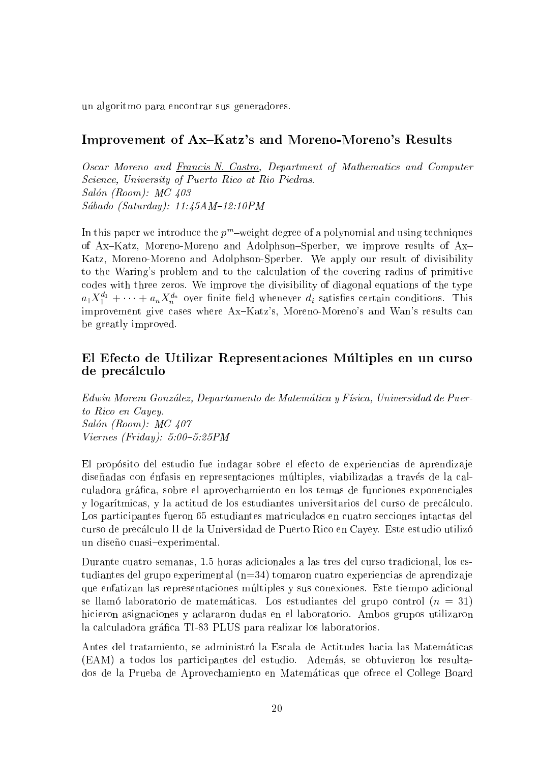un algoritmo para encontrar sus generadores.

#### Improvement of Ax–Katz's and Moreno-Moreno's Results

Oscar Moreno and Francis N. Castro, Department of Mathematics and Computer Science, University of Puerto Rico at Rio Piedras.  $Salón (Room): MC 403$ Sábado (Saturday):  $11:45AM-12:10PM$ 

In this paper we introduce the  $p_\parallel$  -weight degree of a polynomial and using techniques of Ax-Katz, Moreno-Moreno and Adolphson-Sperber, we improve results of Ax-Katz, Moreno-Moreno and Adolphson-Sperber. We apply our result of divisibility to the Waring's problem and to the calculation of the covering radius of primitive codes with three zeros. We improve the divisibility of diagonal equations of the type  $a_1 X_1^+ + \cdots + a_n X_n^{+n}$  over finite field whenever  $a_i$  satisfies certain conditions. This improvement give cases where Ax-Katz's, Moreno-Moreno's and Wan's results can be greatly improved.

#### El Efecto de Utilizar Representaciones Multiples en un curso de precalculo

Edwin Morera González, Departamento de Matemática y Física, Universidad de Puerto Rico en Cayey. Salón (Room): MC 407  $Viernes$  (Friday):  $5:00-5:25PM$ 

El propósito del estudio fue indagar sobre el efecto de experiencias de aprendizaje diseñadas con énfasis en representaciones múltiples, viabilizadas a través de la calculadora gráfica, sobre el aprovechamiento en los temas de funciones exponenciales y logartmicas, y la actitud de los estudiantes universitarios del curso de precalculo. Los participantes fueron 65 estudiantes matriculados en cuatro secciones intactas del curso de precalculo II de la Universidad de Puerto Rico en Cayey. Este estudio utilizo un diseño cuasi-experimental.

Durante cuatro semanas, 1.5 horas adicionales a las tres del curso tradicional, los estudiantes del grupo experimental (n=34) tomaron cuatro experiencias de aprendizaje que enfatizan las representaciones multiples y sus conexiones. Este tiempo adicional se llamó laboratorio de matemáticas. Los estudiantes del grupo control  $(n = 31)$ hicieron asignaciones y aclararon dudas en el laboratorio. Ambos grupos utilizaron la calculadora gráfica TI-83 PLUS para realizar los laboratorios.

Antes del tratamiento, se administró la Escala de Actitudes hacia las Matemáticas (EAM) a todos los participantes del estudio. Ademas, se obtuvieron los resultados de la Prueba de Aprovechamiento en Matematicas que ofrece elCollege Board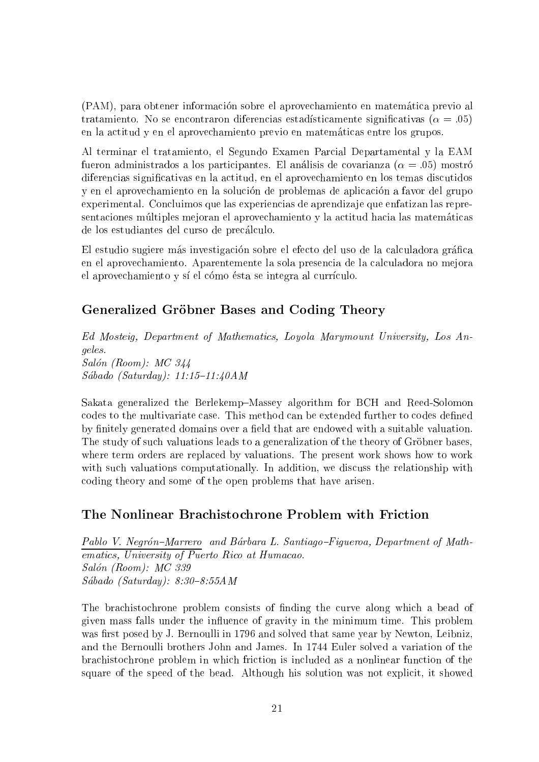(PAM), para obtener informacion sobre el aprovechamiento en matematica previo al tratamiento. No se encontraron diferencias estadísticamente significativas ( $\alpha = .05$ ) en la actitud y en el aprovechamiento previo en matematicas entre los grupos.

Al terminar el tratamiento, el Segundo Examen Parcial Departamental y la EAM fueron administrados a los participantes. El análisis de covarianza  $(\alpha = .05)$  mostró diferencias signicativas en la actitud, en el aprovechamiento en los temas discutidos y en el aprovechamiento en la solución de problemas de aplicación a favor del grupo experimental. Concluimos que las experiencias de aprendiza je que enfatizan las representaciones multiples mejoran el aprovechamiento y la actitud hacia las matematicas de los estudiantes del curso de precalculo.

El estudio sugiere más investigación sobre el efecto del uso de la calculadora gráfica en el aprovechamiento. Aparentemente la sola presencia de la calculadora no mejora el aprovechamiento y sí el cómo ésta se integra al currículo.

#### Generalized Gröbner Bases and Coding Theory

Ed Mosteig, Department of Mathematics, Loyola Marymount University, Los Angeles. Salón (Room): MC 344  $Sába do$  (Saturday): 11:15-11:40AM

Sakata generalized the Berlekemp-Massey algorithm for BCH and Reed-Solomon codes to the multivariate case. This method can be extended further to codes defined by finitely generated domains over a field that are endowed with a suitable valuation. The study of such valuations leads to a generalization of the theory of Gröbner bases, where term orders are replaced by valuations. The present work shows how to work with such valuations computationally. In addition, we discuss the relationship with coding theory and some of the open problems that have arisen.

#### The Nonlinear Brachistochrone Problem with Friction

Pablo V. Negrón-Marrero and Bárbara L. Santiago-Figueroa, Department of Mathematics, University of Puerto Rico at Humacao. Salón (Room): MC 339  $Sába do$  (Saturday):  $8:30-8:55AM$ 

The brachistochrone problem consists of nding the curve along which a bead of given mass falls under the influence of gravity in the minimum time. This problem was first posed by J. Bernoulli in 1796 and solved that same year by Newton, Leibniz, and the Bernoulli brothers John and James. In 1744 Euler solved a variation of the brachistochrone problem in which friction is included as a nonlinear function of the square of the speed of the bead. Although his solution was not explicit, it showed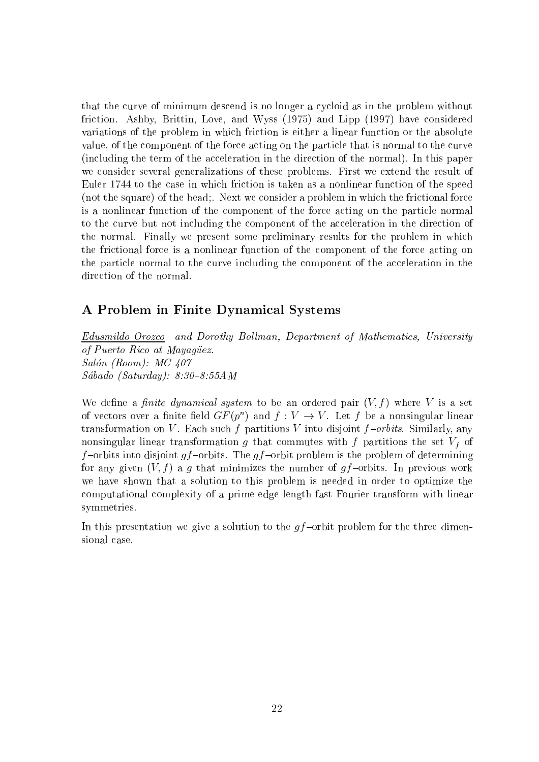that the curve of minimum descend is no longer a cycloid as in the problem without friction. Ashby, Brittin, Love, and Wyss (1975) and Lipp (1997) have considered variations of the problem in which friction is either a linear function or the absolute value, of the component of the force acting on the particle that is normal to the curve (including the term of the acceleration in the direction of the normal). In this paper we consider several generalizations of these problems. First we extend the result of Euler 1744 to the case in which friction is taken asa nonlinear function of the speed (not the square) of the bead;. Next we consider a problem in which the frictional force is a nonlinear function of the component of the force acting on the particle normal to the curve but not including the component of the acceleration in the direction of the normal. Finally we present some preliminary results for the problem in which the frictional force is a nonlinear function of the component of the force acting on the particle normal to the curve including the component of the acceleration in the direction of the normal.

#### A Problem in Finite Dynamical Systems

Edusmildo Orozco and Dorothy Bollman, Department of Mathematics, University of Puerto Rico at Mayagüez. Salón (Room): MC 407  $Sábado (Saturday): 8:30-8:55AM$ 

We define a *finite dynamical system* to be an ordered pair  $(V, f)$  where V is a set of vectors over a limite held  $\mathbf{G} F\left( p^{\perp }\right)$  and  $f:V\rightarrow V$  . Let  $f$  be a nonsingular linear transformation on V. Each such f partitions V into disjoint  $f$ -orbits. Similarly, any nonsingular linear transformation g that commutes with f partitions the set  $V_f$  of f-orbits into disjoint gf-orbits. The gf-orbit problem is the problem of determining for any given  $(V, f)$  a g that minimizes the number of gf-orbits. In previous work we have shown that a solution to this problem is needed in order to optimize the computational complexity of a prime edge length fast Fourier transform with linear symmetries.

In this presentation we give a solution to the  $gf$ -orbit problem for the three dimensional case.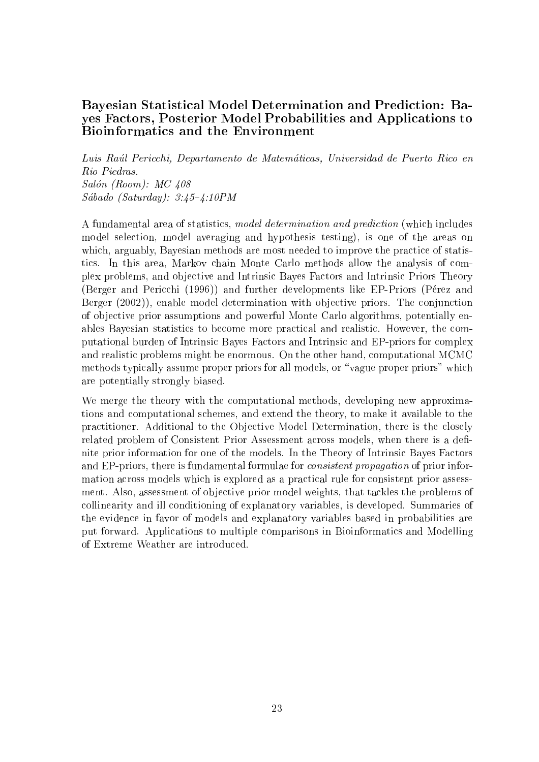#### Bayesian Statistical Model Determination and Prediction: Bayes Factors, Posterior Model Probabilities and Applications to Bioinformatics and the Environment

Luis Raul Pericchi, Departamento de Matematicas, Universidad de Puerto Rico en Rio Piedras.  $Salón (Room): MC 408$ Sábado (Saturday):  $3:45-4:10PM$ 

A fundamental area of statistics, model determination and prediction (which includes model selection, model averaging and hypothesis testing), is one of the areas on which, arguably, Bayesian methods are most needed to improve the practice of statistics. In this area, Markov chain Monte Carlo methods allow the analysis of complex problems, and ob jective and Intrinsic Bayes Factors and Intrinsic Priors Theory (Berger and Pericchi (1996)) and further developments like EP-Priors (Pérez and Berger (2002)), enable model determination with objective priors. The conjunction of ob jective prior assumptions and powerful Monte Carlo algorithms, potentially enables Bayesian statistics to become more practical and realistic. However, the computational burden of Intrinsic Bayes Factors and Intrinsic and EP-priors for complex and realistic problems might be enormous. On the other hand, computational MCMC methods typically assume proper priors for all models, or "vague proper priors" which are potentially strongly biased.

We merge the theory with the computational methods, developing new approximations and computational schemes, and extend the theory, to make it available to the practitioner. Additional to the Objective Model Determination, there is the closely related problem of Consistent Prior Assessment across models, when there is a definite prior information for one of the models. In the Theory of Intrinsic Bayes Factors and EP-priors, there is fundamental formulae for consistent propagation of prior information across models which is explored as a practical rule for consistent prior assessment. Also, assessment of objective prior model weights, that tackles the problems of collinearity and ill conditioning of explanatory variables, is developed. Summaries of the evidence in favor of models and explanatory variables based in probabilities are put forward. Applications to multiple comparisons in Bioinformatics and Modelling of Extreme Weather are introduced.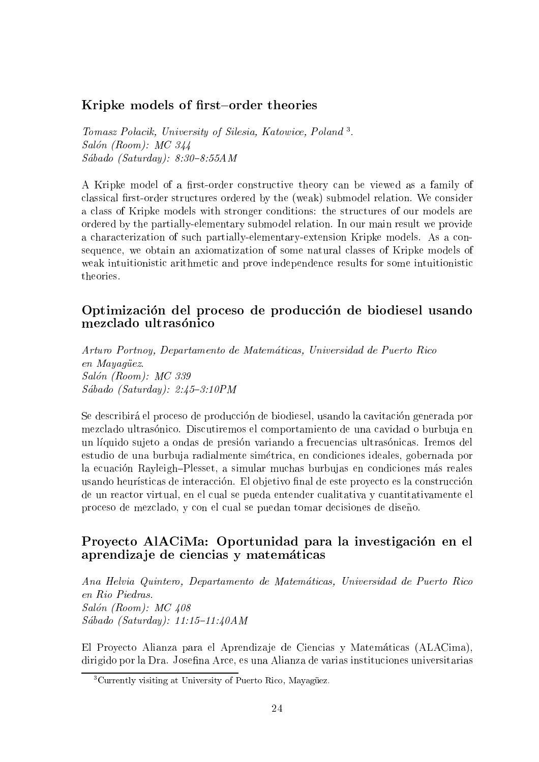#### Kripke models of first-order theories

Iomasz Potacik, University of Suesia, Katowice, Polana 3. Salón (Room):  $MC$  344  $Sába do$  (Saturday):  $8:30-8:55AM$ 

A Kripke model of a first-order constructive theory can be viewed as a family of classical first-order structures ordered by the (weak) submodel relation. We consider a class of Kripke models with stronger conditions: the structures of our models are ordered by the partially-elementary submodel relation. In our main result we provide a characterization of such partially-elementary-extension Kripke models. As a consequence, we obtain an axiomatization of some natural classes of Kripke models of weak intuitionistic arithmetic and prove independence results for some intuitionistic theories.

#### Optimizacion del proceso de produccion de biodiesel usando mezclado ultrasónico

Arturo Portnoy, Departamento de Matematicas, Universidad de Puerto Rico en Mayaqüez. Salón (Room): MC 339  $Sábado (Saturday): 2:45-3:10PM$ 

Se describirá el proceso de producción de biodiesel, usando la cavitación generada por mezclado ultrasónico. Discutiremos el comportamiento de una cavidad o burbuja en un líquido sujeto a ondas de presión variando a frecuencias ultrasónicas. Iremos del estudio de una burbuja radialmente simetrica, en condiciones ideales, gobernada por la ecuación Rayleigh-Plesset, a simular muchas burbujas en condiciones más reales usando heurísticas de interacción. El objetivo final de este proyecto es la construcción de un reactor virtual, en el cual se pueda entender cualitativa y cuantitativamente el proceso de mezclado, y con el cual se puedan tomar decisiones de diseño.

#### Proyecto AlACiMa: Oportunidad para la investigación en el aprendiza je de ciencias y matematicas

Ana Helvia Quintero, Departamento de Matematicas, Universidad de Puerto Rico en Rio Piedras. Salón (Room): MC 408 Sábado (Saturday):  $11:15{-}11:40AM$ 

El Proyecto Alianza para el Aprendiza je de Ciencias y Matematicas (ALACima), dirigido por la Dra. Josefina Arce, es una Alianza de varias instituciones universitarias

<sup>&</sup>lt;sup>3</sup>Currently visiting at University of Puerto Rico, Mayaguez.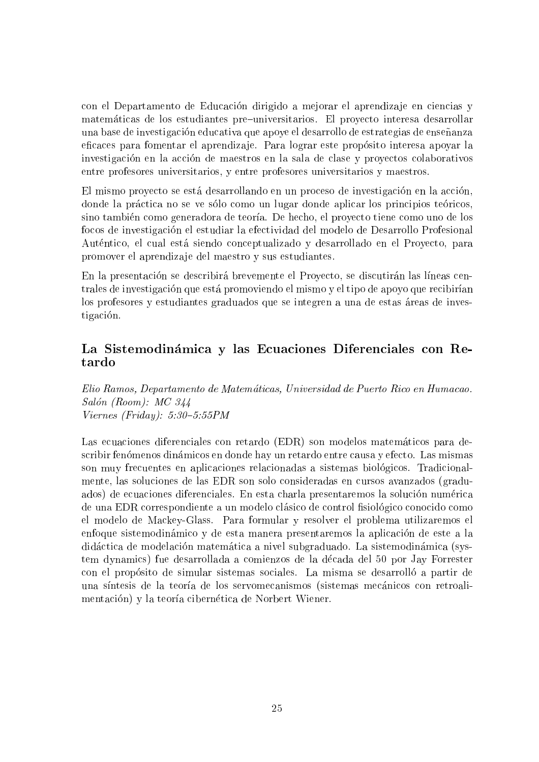con el Departamento de Educación dirigido a mejorar el aprendizaje en ciencias y matemáticas de los estudiantes pre-universitarios. El proyecto interesa desarrollar una base de investigación educativa que apoye el desarrollo de estrategias de enseñanza eficaces para fomentar el aprendizaje. Para lograr este propósito interesa apoyar la investigacion en la accion de maestros en la sala de clase y proyectos colaborativos entre profesores universitarios, y entre profesores universitarios y maestros.

El mismo proyecto se está desarrollando en un proceso de investigación en la acción, donde la práctica no se ve sólo como un lugar donde aplicar los principios teóricos, sino tambien como generadora de teora. De hecho, el proyecto tiene como uno de los focos de investigacion el estudiar la efectividad del modelo de Desarrollo Profesional Auténtico, el cual está siendo conceptualizado y desarrollado en el Proyecto, para promover el aprendiza je del maestro y sus estudiantes.

En la presentación se describirá brevemente el Proyecto, se discutirán las líneas centrales de investigacion que esta promoviendo el mismo y el tipo de apoyo que recibiran los profesores y estudiantes graduados que se integren a una de estas áreas de investigacion.

# La Sistemodinámica y las Ecuaciones Diferenciales con Re-

Elio Ramos, Departamento de Matematicas, Universidad de Puerto Rico en Humacao. Salón (Room):  $MC$  344  $Viernes$  (Friday): 5:30-5:55PM

Las ecuaciones diferenciales con retardo (EDR) son modelos matematicos para describir fenómenos dinámicos en donde hay un retardo entre causa y efecto. Las mismas son muy frecuentes en aplicaciones relacionadas a sistemas biológicos. Tradicionalmente, las soluciones de las EDR son solo consideradas en cursos avanzados (graduados) de ecuaciones diferenciales. En esta charla presentaremos la solucion numerica de una EDR correspondiente a un modelo clásico de control fisiológico conocido como el modelo de Mackey-Glass. Para formular y resolver el problema utilizaremos el enfoque sistemodinamico y de esta manera presentaremos la aplicacion de este a la didáctica de modelación matemática a nivel subgraduado. La sistemodinámica (system dynamics) fue desarrollada a comienzos de la decada del 50 por Jay Forrester con el propósito de simular sistemas sociales. La misma se desarrolló a partir de una síntesis de la teoría de los servomecanismos (sistemas mecánicos con retroalimentación) y la teoría cibernética de Norbert Wiener.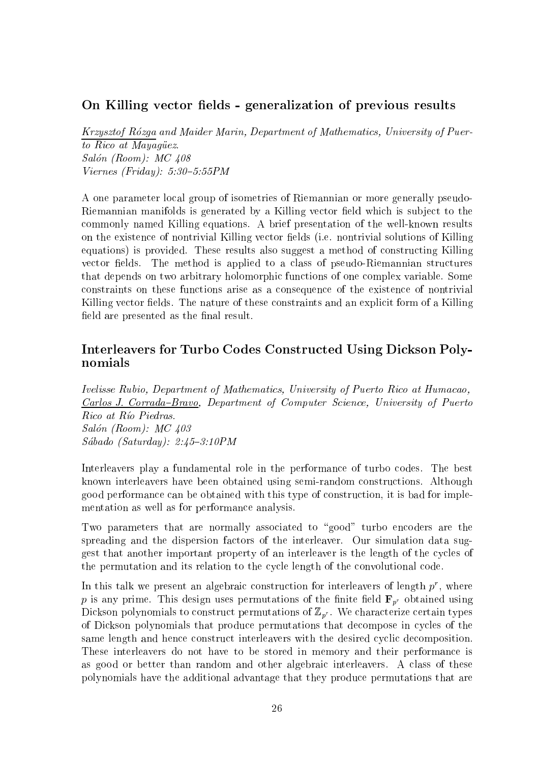#### On Killing vector fields - generalization of previous results

Krzysztof Rozga and Maider Marin, Department of Mathematics, University of Puerto Rico at Mayagüez. Salón (Room):  $MC$  408 Viernes (Friday):  $5:30-5:55PM$ 

A one parameter local group of isometries of Riemannian or more generally pseudo-Riemannian manifolds is generated by a Killing vector field which is subject to the commonly named Killing equations. A brief presentation of the well-known results on the existence of nontrivial Killing vector fields (i.e. nontrivial solutions of Killing equations) is provided. These results also suggest a method of constructing Killing vector fields. The method is applied to a class of pseudo-Riemannian structures that depends on two arbitrary holomorphic functions of one complex variable. Some constraints on these functions arise as a consequence of the existence of nontrivial Killing vector fields. The nature of these constraints and an explicit form of a Killing field are presented as the final result.

#### Interleavers for Turbo Codes Constructed Using Dickson Polynomials

Ivelisse Rubio, Department of Mathematics, University of Puerto Rico at Humacao, Carlos J. Corrada-Bravo, Department of Computer Science, University of Puerto Rico at Río Piedras. Salón (Room): MC 403 Sábado (Saturday):  $2:45-3:10PM$ 

Interleavers play a fundamental role in the performance of turbo codes. The best known interleavers have been obtained using semi-random constructions. Although good performance can be obtained with this type of construction, it is bad for implementation as well as for performance analysis.

Two parameters that are normally associated to "good" turbo encoders are the spreading and the dispersion factors of the interleaver. Our simulation data suggest that another important property of an interleaver is the length of the cycles of the permutation and its relation to the cycle length of the convolutional code.

In this talk we present an algebraic construction for interleavers of length  $p$  , where  $\hspace{0.1mm}$ p is any prime. This design uses permutations of the finite field  $\mathbf{F}_{p^r}$  obtained using Dickson polynomials to construct permutations of  $\mathbb{Z}_{p^r}$ . We characterize certain types of Dickson polynomials that produce permutations that decompose in cycles of the same length and hence construct interleavers with the desired cyclic decomposition. These interleavers do not have to be stored in memory and their performance is as good or better than random and other algebraic interleavers. A class of these polynomials have the additional advantage that they produce permutations that are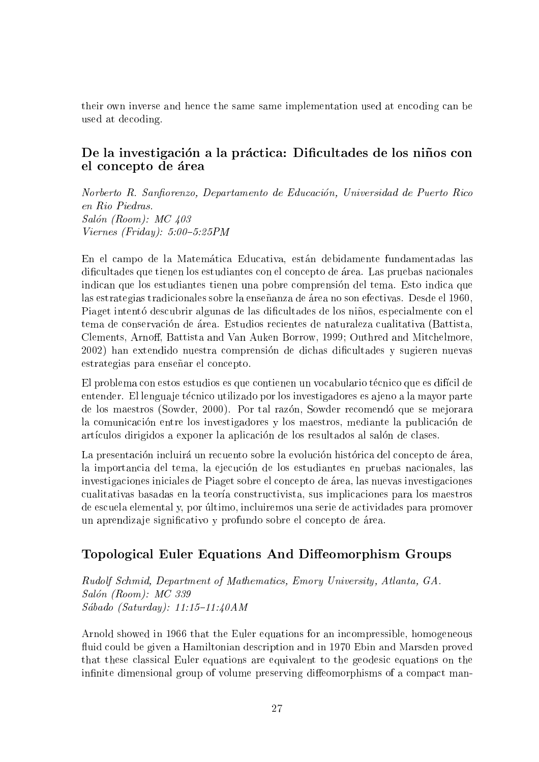their own inverse and hence the same same implementation used at encoding can be used at decoding.

#### De la investigación a la práctica: Dificultades de los niños con el concepto de area

Norberto R. Sanfiorenzo, Departamento de Educación, Universidad de Puerto Rico Salón (Room):  $MC$  403  $Viernes$  (Friday): 5:00-5:25PM

En el campo de la Matemática Educativa, están debidamente fundamentadas las dicultades que tienen los estudiantes con el concepto de area. Las pruebas nacionales indican que los estudiantes tienen una pobre comprension del tema. Esto indica que las estrategias tradicionales sobre la enseñanza de área no son efectivas. Desde el 1960, Piaget intentó descubrir algunas de las dificultades de los niños, especialmente con el tema de conservacion de area. Estudios recientes de naturaleza cualitativa (Battista, Clements, Arnoff, Battista and Van Auken Borrow, 1999; Outhred and Mitchelmore, 2002) han extendido nuestra comprension de dichas dicultades y sugieren nuevas estrategias para enseñar el concepto.

El problema con estos estudios es que contienen un vocabulario técnico que es difícil de entender. El lenguaje técnico utilizado por los investigadores es ajeno a la mayor parte de los maestros (Sowder, 2000). Por tal razon, Sowder recomendo que se mejorara la comunicacion entre los investigadores y los maestros, mediante la publicacion de artículos dirigidos a exponer la aplicación de los resultados al salón de clases.

La presentación incluirá un recuento sobre la evolución histórica del concepto de área, la importancia del tema, la ejecución de los estudiantes en pruebas nacionales, las investigaciones iniciales de Piaget sobre el concepto de area, las nuevas investigaciones cualitativas basadas en la teora constructivista, sus implicaciones para los maestros de escuela elemental y, por ultimo, incluiremos una serie de actividades para promover un aprendiza je signicativo y profundo sobre el concepto de area.

## Topological Euler Equations And Diffeomorphism Groups

Rudolf Schmid, Department of Mathematics, Emory University, Atlanta, GA. Salón (Room): MC 339  $Sába do$  (Saturday): 11:15-11:40AM

Arnold showed in 1966 that the Euler equations for an incompressible, homogeneous fluid could be given a Hamiltonian description and in 1970 Ebin and Marsden proved that these classical Euler equations are equivalent to the geodesic equations on the infinite dimensional group of volume preserving diffeomorphisms of a compact man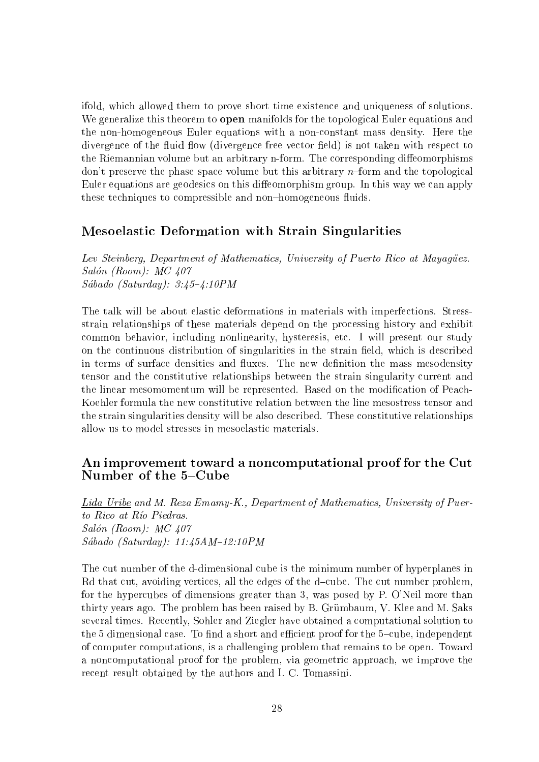ifold, which allowed them to prove short time existence and uniqueness of solutions. We generalize this theorem to **open** manifolds for the topological Euler equations and the non-homogeneous Euler equations with a non-constant mass density. Here the divergence of the fluid flow (divergence free vector field) is not taken with respect to the Riemannian volume but an arbitrary n-form. The corresponding diffeomorphisms don't preserve the phase space volume but this arbitrary  $n$ -form and the topological Euler equations are geodesics on this diffeomorphism group. In this way we can apply these techniques to compressible and non-homogeneous fluids.

#### Mesoelastic Deformation with Strain Singularities

Lev Steinberg, Department of Mathematics, University of Puerto Rico at Mayagüez. Salón (Room):  $MC$  407 Sábado (Saturday):  $3:45 - 4:10PM$ 

The talk will be about elastic deformations in materials with imperfections. Stressstrain relationships of these materials depend on the processing history and exhibit common behavior, including nonlinearity, hysteresis, etc. I will present our study on the continuous distribution of singularities in the strain field, which is described in terms of surface densities and fluxes. The new definition the mass mesodensity tensor and the constitutive relationships between the strain singularity current and the linear mesomomentum will be represented. Based on the modication of Peach-Koehler formula the new constitutive relation between the line mesostress tensor and the strain singularities density will be also described. These constitutive relationships allow us to model stresses in mesoelastic materials.

#### An improvement toward a noncomputational proof for the Cut Number of the 5-Cube

Lida Uribe and M. Reza Emamy-K., Department of Mathematics, University of Puerto  $Ric$  at  $Ric$  Piedras. Salón (Room): MC 407 Sábado (Saturday):  $11:45AM-12:10PM$ 

The cut number of the d-dimensional cube is the minimum number of hyperplanes in Rd that cut, avoiding vertices, all the edges of the d-cube. The cut number problem, for the hypercubes of dimensions greater than 3, was posed by P. O'Neil more than thirty years ago. The problem has been raised by B. Grümbaum, V. Klee and M. Saks several times. Recently, Sohler and Ziegler have obtained a computational solution to the  $5$  dimensional case. To find a short and efficient proof for the  $5$ -cube, independent of computer computations, is a challenging problem that remains to be open. Toward a noncomputational proof for the problem, via geometric approach, we improve the recent result obtained by the authors and I. C. Tomassini.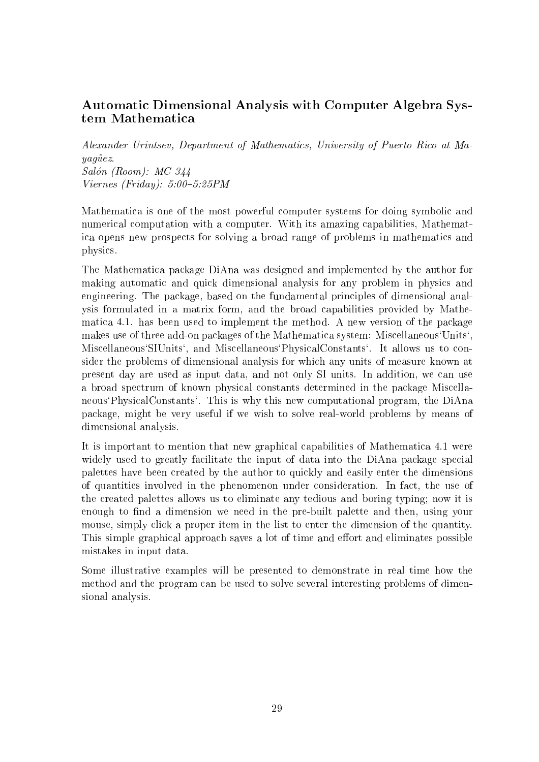#### Automatic Dimensional Analysis with Computer Algebra System Mathematica

Alexander Urintsev, Department of Mathematics, University of Puerto Rico at Ma $y a q \ddot{u} e z.$ Salón (Room): MC 344  $Viernes$  (Friday):  $5:00-5:25PM$ 

Mathematica is one of the most powerful computer systems for doing symbolic and numerical computation with a computer. With its amazing capabilities, Mathematica opens new prospects for solving a broad range of problems in mathematics and physics.

The Mathematica package DiAna was designed and implemented by the author for making automatic and quick dimensional analysis for any problem in physics and engineering. The package, based on the fundamental principles of dimensional analysis formulated in a matrix form, and the broad capabilities provided by Mathematica 4.1. has been used to implement the method. A new version of the package makes use of three add-on packages of the Mathematica system: Miscellaneous`Units`, Miscellaneous`SIUnits`, and Miscellaneous`PhysicalConstants`. It allows us to consider the problems of dimensional analysis for which any units of measure known at present day are used as input data, and not only SI units. In addition, we can use a broad spectrum of known physical constants determined in the package Miscellaneous`PhysicalConstants`. This is why this new computational program, the DiAna package, might be very useful if we wish to solve real-world problems by means of dimensional analysis.

It is important to mention that new graphical capabilities of Mathematica 4.1 were widely used to greatly facilitate the input of data into the DiAna package special palettes have been created by the author to quickly and easily enter the dimensions of quantities involved in the phenomenon under consideration. In fact, the use of the created palettes allows us to eliminate any tedious and boring typing; now it is enough to find a dimension we need in the pre-built palette and then, using your mouse, simply click a proper item in the list to enter the dimension of the quantity. This simple graphical approach saves a lot of time and effort and eliminates possible mistakes in input data.

Some illustrative examples will be presented to demonstrate in real time how the method and the program can be used to solve several interesting problems of dimensional analysis.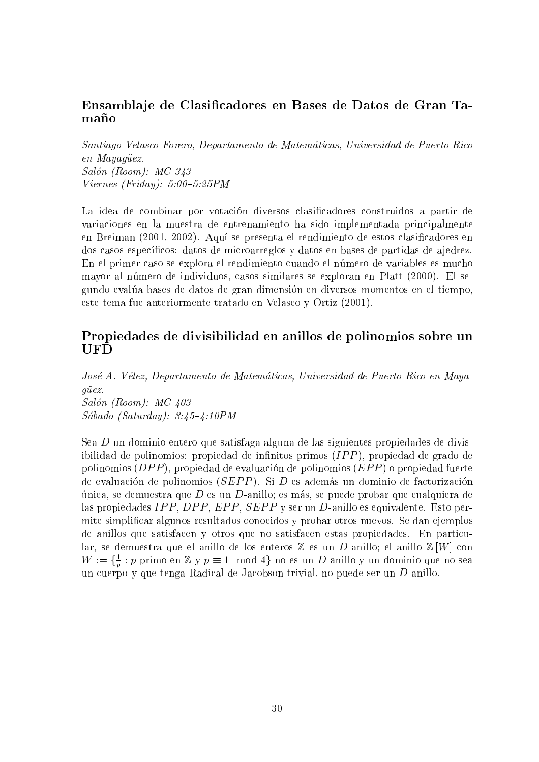#### Ensambla je de Clasicadores en Bases de Datos de Gran Ta $ma\tilde{p}$ o

Santiago Velasco Forero, Departamento de Matematicas, Universidad de Puerto Rico en Mayaqüez. Salón (Room): MC 343  $Viernes$  (Friday): 5:00-5:25PM

La idea de combinar por votacion diversos clasicadores construidos a partir de variaciones en la muestra de entrenamiento ha sido implementada principalmente en Breiman (2001, 2002). Aquí se presenta el rendimiento de estos clasificadores en dos casos específicos: datos de microarreglos y datos en bases de partidas de ajedrez. En el primer caso se explora el rendimiento cuando el número de variables es mucho mayor al número de individuos, casos similares se exploran en Platt (2000). El segundo evalua bases de datos de gran dimension en diversos momentos en el tiempo, este tema fue anteriormente tratado en Velasco y Ortiz (2001).

#### Propiedades de divisibilidad en anillos de polinomios sobre un UFD

Jose A. Velez, Departamento de Matematicas, Universidad de Puerto Rico en Mayaguez. Salón (Room):  $MC$  403  $Sábado (Saturday): 3:45-4:10PM$ 

Sea D un dominio entero que satisfaga alguna de las siguientes propiedades de divisibilidad de polinomios: propiedad de infinitos primos  $(IPP)$ , propiedad de grado de polinomios  $(DPP)$ , propiedad de evaluación de polinomios  $(EPP)$  o propiedad fuerte de evaluación de polinomios  $(SEPP)$ . Si D es además un dominio de factorización única, se demuestra que D es un D-anillo; es más, se puede probar que cualquiera de las propiedades IPP, DPP, EPP, SEPP y ser un D-anillo es equivalente. Esto permite simplicar algunos resultados conocidos y probar otros nuevos. Se dan ejemplos de anillos que satisfacen y otros que no satisfacen estas propiedades. En particular, se demuestra que el anillo de los enteros  $\mathbb Z$  es un D-anillo; el anillo  $\mathbb Z[W]$  con  $W := \{\frac{1}{n}: p \text{ prime en } \mathbb{Z} \mid V \neq \mathbb{Z} \}$  mod  $4\}$  no es un  $D$ -anillo y un dominio que no sea produced a series of the contract of the contract of the contract of the contract of the contract of the contract of the contract of the contract of the contract of the contract of the contract of the contract of the contr un cuerpo y que tenga Radical de Jacobson trivial, no puede ser un D-anillo.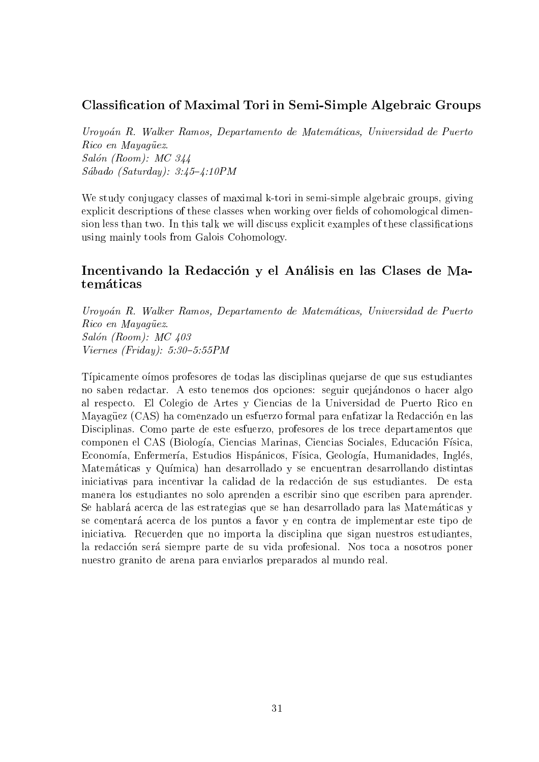#### Classication of Maximal Tori in Semi-Simple Algebraic Groups

Uroyoan R. Walker Ramos, Departamento de Matematicas, Universidad de Puerto Rico en Mayagüez. Salón (Room): MC 344  $Sábado (Saturday): 3:45-4:10PM$ 

We study conjugacy classes of maximal k-tori in semi-simple algebraic groups, giving explicit descriptions of these classes when working over fields of cohomological dimension less than two. In this talk we will discuss explicit examples of these classifications using mainly tools from Galois Cohomology.

#### Incentivando la Redacción y el Análisis en las Clases de Matemáticas

Uroyoan R. Walker Ramos, Departamento de Matematicas, Universidad de Puerto Rico en Mayagüez. Salón (Room):  $MC$  403  $Viernes$  (Friday): 5:30-5:55PM

Típicamente oímos profesores de todas las disciplinas quejarse de que sus estudiantes no saben redactar. A esto tenemos dos opciones: seguir quejándonos o hacer algo al respecto. El Colegio de Artes y Ciencias de la Universidad de Puerto Rico en Mayagüez (CAS) ha comenzado un esfuerzo formal para enfatizar la Redacción en las Disciplinas. Como parte de este esfuerzo, profesores de los trece departamentos que componen el CAS (Biología, Ciencias Marinas, Ciencias Sociales, Educación Física, Economía, Enfermería, Estudios Hispánicos, Física, Geología, Humanidades, Inglés, Matematicas y Qumica) han desarrollado y se encuentran desarrollando distintas iniciativas para incentivar la calidad de la redaccion de sus estudiantes. De esta manera los estudiantes no solo aprenden a escribir sino que escriben para aprender. Se hablará acerca de las estrategias que se han desarrollado para las Matemáticas y se comentara acerca de los puntos a favor y en contra de implementar este tipo de iniciativa. Recuerden que no importa la disciplina que sigan nuestros estudiantes, la redacción será siempre parte de su vida profesional. Nos toca a nosotros poner nuestro granito de arena para enviarlos preparados al mundo real.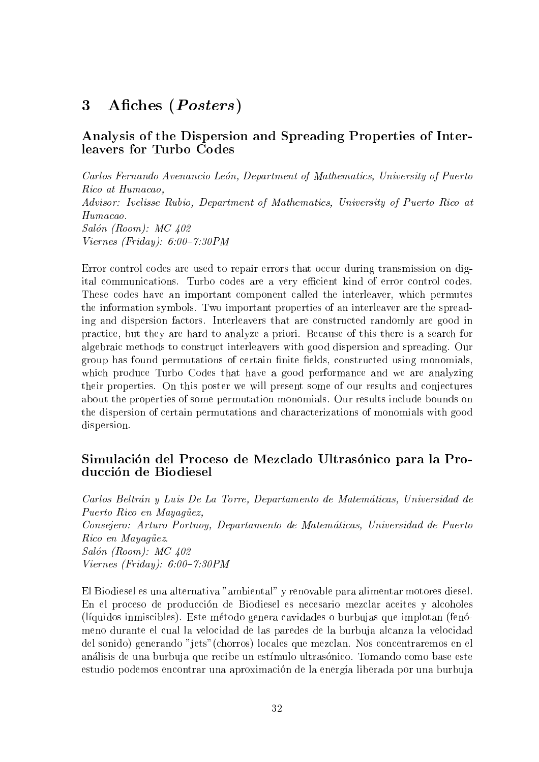#### Afiches (Posters)  $\boldsymbol{3}$

#### Analysis of the Dispersion and Spreading Properties of Interleavers for Turbo Codes

Carlos Fernando Avenancio León, Department of Mathematics, University of Puerto Rico at Humacao, Advisor: Ivelisse Rubio, Department of Mathematics, University of Puerto Rico at Humacao. Salón (Room): MC 402 Viernes (Friday):  $6:00-7:30PM$ 

Error control codes are used to repair errors that occur during transmission on digital communications. Turbo codes are a very efficient kind of error control codes. These codes have an important component called the interleaver, which permutes the information symbols. Two important properties of an interleaver are the spreading and dispersion factors. Interleavers that are constructed randomly are good in practice, but they are hard to analyze a priori. Because of this there is a search for algebraic methods to construct interleavers with good dispersion and spreading. Our group has found permutations of certain finite fields, constructed using monomials, which produce Turbo Codes that have a good performance and we are analyzing their properties. On this poster we will present some of our results and conjectures about the properties of some permutation monomials. Our results include bounds on the dispersion of certain permutations and characterizations of monomials with good dispersion.

#### Simulación del Proceso de Mezclado Ultrasónico para la Producción de Biodiesel

Carlos Beltrán y Luis De La Torre, Departamento de Matemáticas, Universidad de Puerto Rico en Mayagüez, Consejero: Arturo Portnoy, Departamento de Matematicas, Universidad de Puerto Rico en Mayagüez.  $Salón (Room): MC 402$  $Viernes$  (Friday):  $6:00-7:30PM$ 

El Biodiesel es una alternativa "ambiental" y renovable para alimentar motores diesel. En el proceso de produccion de Biodiesel es necesario mezclar aceites y alcoholes (lquidos inmiscibles). Este metodo genera cavidades o burbujas que implotan (fenomeno durante el cual la velocidad de las paredes de la burbuja alcanza la velocidad del sonido) generando "jets"(chorros) locales que mezclan. Nos concentraremos en el análisis de una burbuja que recibe un estímulo ultrasónico. Tomando como base este estudio podemos encontrar una aproximacion de la energa liberada por una burbuja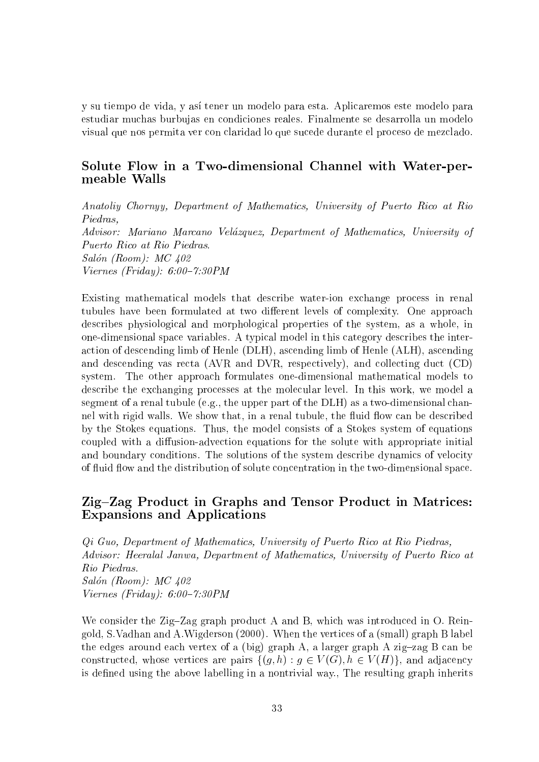y su tiempo de vida, y así tener un modelo para esta. Aplicaremos este modelo para estudiar muchas burbujas en condiciones reales. Finalmente se desarrolla un modelo visual que nos permita ver con claridad lo que sucede durante el proceso de mezclado.

#### Solute Flow in a Two-dimensional Channel with Water-permeable Walls

Anatoliy Chornyy, Department of Mathematics, University of Puerto Rico at Rio Piedras, Advisor: Mariano Marcano Velázquez, Department of Mathematics, University of Puerto Rico at Rio Piedras. Salón (Room): MC 402 Viernes (Friday):  $6:00-7:30PM$ 

Existing mathematical models that describe water-ion exchange process in renal tubules have been formulated at two different levels of complexity. One approach describes physiological and morphological properties of the system, as a whole, in one-dimensional space variables. A typical model in this category describes the interaction of descending limb of Henle (DLH), ascending limb of Henle (ALH), ascending and descending vas recta (AVR and DVR, respectively), and collecting duct (CD) system. The other approach formulates one-dimensional mathematical models to describe the exchanging processes at the molecular level. In this work, we model a segment of a renal tubule (e.g., the upper part of the DLH) as a two-dimensional channel with rigid walls. We show that, in a renal tubule, the fluid flow can be described by the Stokes equations. Thus, the model consists of a Stokes system of equations coupled with a diffusion-advection equations for the solute with appropriate initial and boundary conditions. The solutions of the system describe dynamics of velocity of fluid flow and the distribution of solute concentration in the two-dimensional space.

#### Zig-Zag Product in Graphs and Tensor Product in Matrices: Expansions and Applications

Qi Guo, Department of Mathematics, University of Puerto Rico at Rio Piedras, Advisor: Heeralal Janwa, Department of Mathematics, University of Puerto Rico at Rio Piedras.  $Salón (Room): MC 402$  $Viernes$  (Friday): 6:00-7:30PM

We consider the Zig-Zag graph product A and B, which was introduced in O. Reingold, S.Vadhan and A.Wigderson (2000). When the vertices of a (small) graph B label the edges around each vertex of a (big) graph A, a larger graph A zig-zag B can be constructed, whose vertices are pairs  $\{(g, h) : g \in V(G), h \in V(H)\}\)$ , and adjacency is defined using the above labelling in a nontrivial way., The resulting graph inherits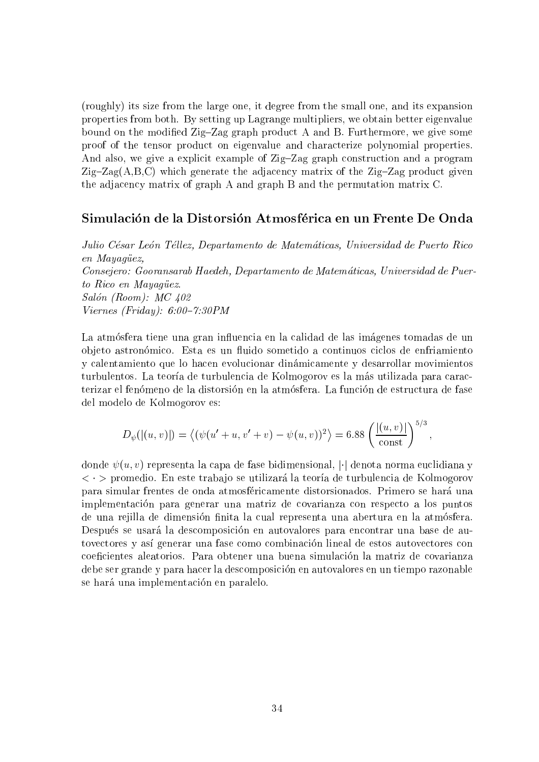(roughly) its size from the large one, it degree from the small one, and its expansion properties from both. By setting up Lagrange multipliers, we obtain better eigenvalue bound on the modified Zig-Zag graph product A and B. Furthermore, we give some proof of the tensor product on eigenvalue and characterize polynomial properties. And also, we give a explicit example of  $\mathbb{Z}ig$ - $\mathbb{Z}ag$  graph construction and a program  $Zig-Zag(A,B,C)$  which generate the adjacency matrix of the  $Zig-Zag$  product given the adjacency matrix of graph A and graph B and the permutation matrix C.

#### Simulacion de la Distorsion Atmosferica en un Frente De Onda

Julio César León Téllez, Departamento de Matemáticas, Universidad de Puerto Rico en Mayagüez, Consejero: Gooransarab Haedeh, Departamento de Matematicas, Universidad de Puerto Rico en Mayagüez. Salón (Room): MC 402 Viernes (Friday):  $6:00-7:30PM$ 

La atmósfera tiene una gran influencia en la calidad de las imágenes tomadas de un objeto astronómico. Esta es un fluido sometido a continuos ciclos de enfriamiento y calentamiento que lo hacen evolucionar dinamicamente y desarrollar movimientos turbulentos. La teoría de turbulencia de Kolmogorov es la más utilizada para caracterizar el fenomeno de la distorsion en la atmosfera. La funcion de estructura de fase del modelo de Kolmogorov es:

$$
D_{\psi}(|(u,v)|) = \langle (\psi(u'+u,v'+v) - \psi(u,v))^2 \rangle = 6.88 \left( \frac{|(u,v)|}{\text{const}} \right)^{5/3},
$$

donde  $\psi(u, v)$  representa la capa de fase bidimensional,  $|\cdot|$  denota norma euclidiana y  $\langle \cdot \rangle$  promedio. En este trabajo se utilizará la teoría de turbulencia de Kolmogorov para simular frentes de onda atmosfericamente distorsionados. Primero se hara una implementacion para generar una matriz de covarianza con respecto a los puntos de una rejilla de dimensión finita la cual representa una abertura en la atmósfera. Después se usará la descomposición en autovalores para encontrar una base de autovectores y así generar una fase como combinación lineal de estos autovectores con coecientes aleatorios. Para obtener una buena simulacion la matriz de covarianza debe ser grande y para hacer la descomposicion en autovalores en un tiempo razonable se hará una implementación en paralelo.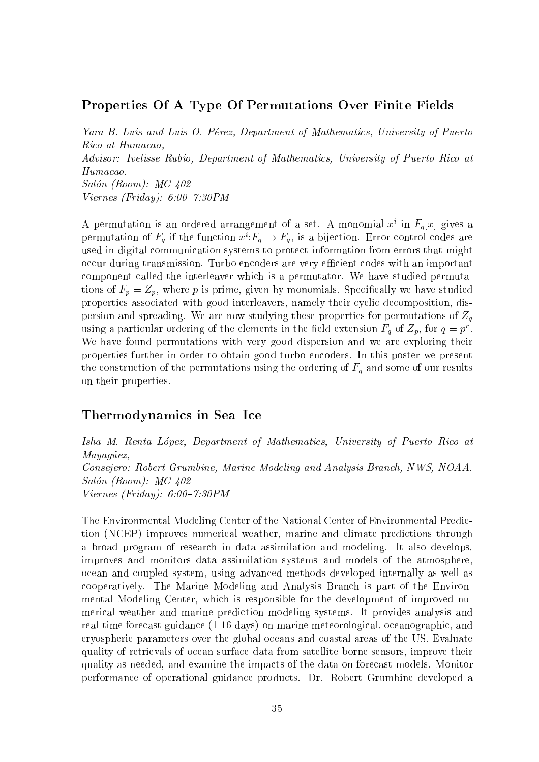#### Properties Of A Type Of Permutations Over Finite Fields

Yara B. Luis and Luis O. Pérez, Department of Mathematics, University of Puerto Rico at Humacao, Advisor: Ivelisse Rubio, Department of Mathematics, University of Puerto Rico at Humacao.  $Salón (Room): MC 402$  $Viernes$  (Friday): 6:00-7:30PM

A permutation is an ordered arrangement of a set. A monomial  $x^i$  in  $F_q[x]$  gives a permutation of  $F_q$  if the function  $x^i$ :  $F_q \rightarrow F_q$ , is a bijection. Error control codes are used in digital communication systems to protect information from errors that might occur during transmission. Turbo encoders are very efficient codes with an important component called the interleaver which is a permutator. We have studied permutations of  $F_p = Z_p$ , where p is prime, given by monomials. Specifically we have studied properties associated with good interleavers, namely their cyclic decomposition, dispersion and spreading. We are now studying these properties for permutations of  $Z_q$ using a particular ordering of the elements in the field extension  $r_g$  of  $Z_p$ , for  $q=p$  . We have found permutations with very good dispersion and we are exploring their properties further in order to obtain good turbo encoders. In this poster we present the construction of the permutations using the ordering of  $F_q$  and some of our results on their properties.

#### Thermodynamics in Sea–Ice

Isha M. Renta López, Department of Mathematics, University of Puerto Rico at Mayagüez, Consejero: Robert Grumbine, Marine Modeling and Analysis Branch, NWS, NOAA.  $Salón (Room): MC 402$  $Viernes$  (Friday): 6:00-7:30PM

The Environmental Modeling Center of the National Center of Environmental Prediction (NCEP) improves numerical weather, marine and climate predictions through a broad program of research in data assimilation and modeling. It also develops, improves and monitors data assimilation systems and models of the atmosphere, ocean and coupled system, using advanced methods developed internally as well as cooperatively. The Marine Modeling and Analysis Branch is part of the Environmental Modeling Center, which is responsible for the development of improved numerical weather and marine prediction modeling systems. It provides analysis and real-time forecast guidance (1-16 days) on marine meteorological, oceanographic, and cryospheric parameters over the global oceans and coastal areas of the US. Evaluate quality of retrievals of ocean surface data from satellite borne sensors, improve their quality as needed, and examine the impacts of the data on forecast models. Monitor performance of operational guidance products. Dr. Robert Grumbine developed a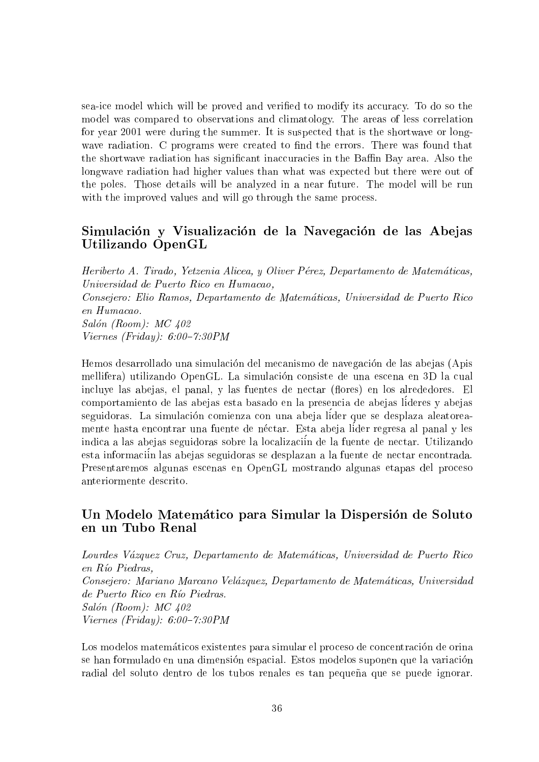sea-ice model which will be proved and veried to modify its accuracy. To do so the model was compared to observations and climatology. The areas of less correlation for year 2001 were during the summer. It is suspected that is the shortwave or longwave radiation. C programs were created to find the errors. There was found that the shortwave radiation has significant inaccuracies in the Baffin Bay area. Also the longwave radiation had higher values than what was expected but there were out of the poles. Those details will be analyzed in a near future. The model will be run with the improved values and will go through the same process.

#### Simulacion y Visualizacion de la Navegacion de las Abejas Utilizando OpenGL

Heriberto A. Tirado, Yetzenia Alicea, y Oliver Pérez, Departamento de Matemáticas, Universidad de Puerto Rico en Humacao, Consejero: Elio Ramos, Departamento de Matematicas, Universidad de Puerto Rico en Humacao.  $Salón (Room): MC 402$  $Viernes$  (Friday): 6:00-7:30PM

Hemos desarrollado una simulación del mecanismo de navegación de las abejas (Apis mellifera) utilizando OpenGL. La simulacion consiste de una escena en 3D la cual incluye las abejas, el panal, y las fuentes de nectar (flores) en los alrededores. El comportamiento de las abejas esta basado en la presencia de abejas lideres y abejas seguidoras. La simulacion comienza con una abeja lider que se desplaza aleatoreamente hasta encontrar una fuente de nectar. Esta abeja lider regresa al panal y les indica a las abejas seguidoras sobre la localizaciin de la fuente de nectar. Utilizando esta informaciin las abejas seguidoras se desplazan a la fuente de nectar encontrada. Presentaremos algunas escenas en OpenGL mostrando algunas etapas del proceso

#### Un Modelo Matemático para Simular la Dispersión de Soluto en un Tubo Renal

Lourdes Vazquez Cruz, Departamento de Matematicas, Universidad de Puerto Rico en Río Piedras, Consejero: Mariano Marcano Velazquez, Departamento de Matematicas, Universidad de Puerto Rico en Río Piedras. Salón (Room):  $MC$  402 Viernes (Friday):  $6:00-7:30PM$ 

Los modelos matematicos existentes para simular el proceso de concentracion de orina se han formulado en una dimension espacial. Estos modelos suponen que la variacion radial del soluto dentro de los tubos renales es tan pequeña que se puede ignorar.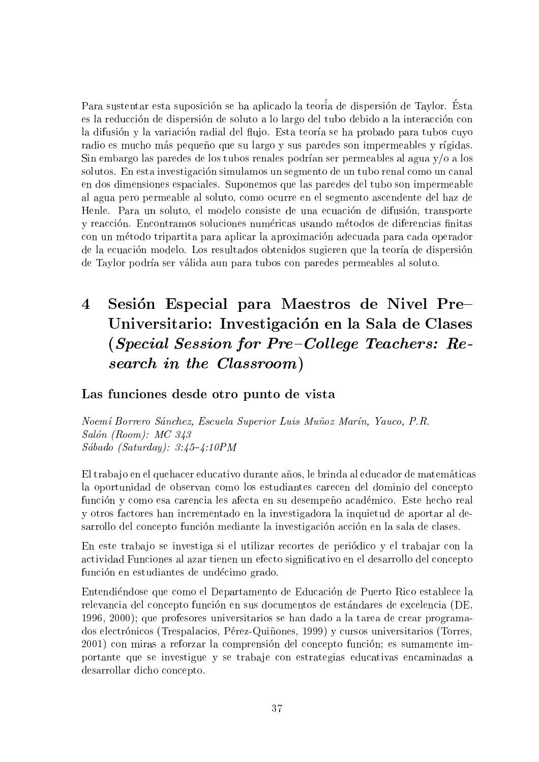Para sustentar esta suposicion se ha aplicado la teoria de dispersion de Taylor. Esta es la reduccion de dispersion de soluto a lo largo del tubo debido a la interaccion con la difusión y la variación radial del flujo. Esta teoría se ha probado para tubos cuyo radio es mucho más pequeño que su largo y sus paredes son impermeables y rígidas. Sin embargo las paredes de los tubos renales podrían ser permeables al agua  $y/\sigma$  a los solutos. En esta investigacion simulamos un segmento de un tubo renal como un canal en dos dimensiones espaciales. Suponemos que las paredes del tubo son impermeable al agua pero permeable al soluto, como ocurre en el segmento ascendente del haz de Henle. Para un soluto, el modelo consiste de una ecuación de difusión, transporte y reacción. Encontramos soluciones numéricas usando métodos de diferencias finitas con un metodo tripartita para aplicar la aproximacion adecuada para cada operador de la ecuacion modelo. Los resultados obtenidos sugieren que la teora de dispersion de Taylor podría ser válida aun para tubos con paredes permeables al soluto.

## $\boldsymbol{\Lambda}$ Sesión Especial para Maestros de Nivel Pre-Universitario: Investigación en la Sala de Clases (Special Session for Pre-College Teachers: Research in the Classroom)

#### Las funciones desde otro punto de vista

Noemí Borrero Sánchez, Escuela Superior Luis Muñoz Marín, Yauco, P.R. Salón (Room):  $MC$  343  $Sába do (Saturday): 3:45-4:10PM$ 

El trabajo en el quehacer educativo durante años, le brinda al educador de matemáticas la oportunidad de observan como los estudiantes carecen del dominio del concepto función y como esa carencia les afecta en su desempeño académico. Este hecho real y otros factores han incrementado en la investigadora la inquietud de aportar al desarrollo del concepto funcion mediante la investigacion accion en la sala de clases.

En este traba jo se investiga si el utilizar recortes de periodico y el traba jar con la actividad Funciones al azar tienen un efecto signicativo en el desarrollo del concepto función en estudiantes de undécimo grado.

Entendiendose que como el Departamento de Educacion de Puerto Rico establece la relevancia del concepto funcion en sus documentos de estandares de excelencia (DE, 1996, 2000); que profesores universitarios se han dado a la tarea de crear programados electrónicos (Trespalacios, Pérez-Quiñones, 1999) y cursos universitarios (Torres, 2001) con miras a reforzar la comprensión del concepto función; es sumamente importante que se investigue y se traba je con estrategias educativas encaminadas a desarrollar dicho concepto.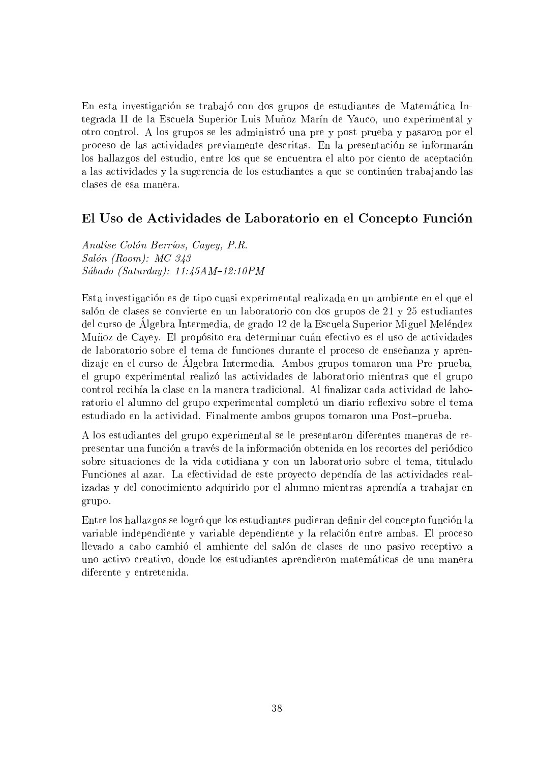En esta investigación se trabajó con dos grupos de estudiantes de Matemática Integrada II de la Escuela Superior Luis Muñoz Marín de Yauco, uno experimental y otro control. A los grupos se les administro una pre y post prueba y pasaron por el proceso de las actividades previamente descritas. En la presentación se informarán los hallazgos del estudio, entre los que se encuentra el alto por ciento de aceptacion a las actividades y la sugerencia de los estudiantes a que se continúen trabajando las clases de esa manera.

#### El Uso de Actividades de Laboratorio en el Concepto Funcion

Analise Colón Berríos, Cayey, P.R. Salón (Room): MC 343  $Sába do$  (Saturday):  $11:45AM-12:10PM$ 

Esta investigacion es de tipo cuasi experimental realizada en un ambiente en el que el salón de clases se convierte en un laboratorio con dos grupos de 21 y 25 estudiantes del curso de Algebra Intermedia, de grado 12 de la Escuela Superior Miguel Melendez Muñoz de Cayey. El propósito era determinar cuán efectivo es el uso de actividades de laboratorio sobre el tema de funciones durante el proceso de enseñanza y aprendiza je en el curso de Algebra Intermedia. Ambos grupos tomaron una Pre{prueba, el grupo experimental realizo las actividades de laboratorio mientras que el grupo control recibía la clase en la manera tradicional. Al finalizar cada actividad de laboratorio el alumno del grupo experimental completó un diario reflexivo sobre el tema estudiado en la actividad. Finalmente ambos grupos tomaron una Post-prueba.

A los estudiantes del grupo experimental se le presentaron diferentes maneras de representar una funcion a traves de la informacion obtenida en los recortes del periodico sobre situaciones de la vida cotidiana y con un laboratorio sobre el tema, titulado Funciones al azar. La efectividad de este proyecto dependa de las actividades realizadas y del conocimiento adquirido por el alumno mientras aprendía a trabajar en grupo.

Entre los hallazgos se logró que los estudiantes pudieran definir del concepto función la variable independiente y variable dependiente y la relacion entre ambas. El proceso llevado a cabo cambio el ambiente del salon de clases de uno pasivo receptivo a uno activo creativo, donde los estudiantes aprendieron matematicas de una manera diferente y entretenida.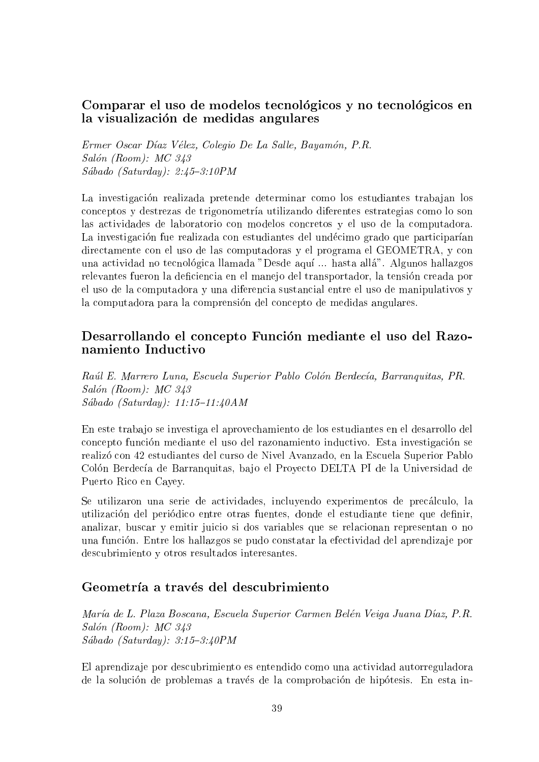#### Comparar el uso de modelos tecnológicos y no tecnológicos en la visualización de medidas angulares

Ermer Oscar Díaz Vélez, Colegio De La Salle, Bayamón, P.R.  $Salón (Room): MC 343$  $Sábado (Saturday): 2:45-3:10PM$ 

La investigación realizada pretende determinar como los estudiantes trabajan los conceptos y destrezas de trigonometra utilizando diferentes estrategias como lo son las actividades de laboratorio con modelos concretos y el uso de la computadora. La investigación fue realizada con estudiantes del undécimo grado que participarían directamente con el uso de las computadoras y el programa el GEOMETRA, y con una actividad no tecnológica llamada "Desde aquí ... hasta allá". Algunos hallazgos relevantes fueron la deficiencia en el manejo del transportador, la tensión creada por el uso de la computadora y una diferencia sustancial entre el uso de manipulativos y la computadora para la comprensión del concepto de medidas angulares.

#### Desarrollando el concepto Funcion mediante el uso del Razonamiento Inductivo

Raúl E. Marrero Luna, Escuela Superior Pablo Colón Berdecía, Barranquitas, PR. Salón (Room): MC 343 Sábado (Saturday):  $11:15{-}11:40AM$ 

En este traba jo se investiga el aprovechamiento de los estudiantes en el desarrollo del concepto funcion mediante eluso del razonamiento inductivo. Esta investigacion se realizo con 42 estudiantes del curso de Nivel Avanzado, en la Escuela Superior Pablo Colón Berdecía de Barranquitas, bajo el Proyecto DELTA PI de la Universidad de Puerto Rico en Cayey.

Se utilizaron una serie de actividades, incluyendo experimentos de precalculo, la utilización del periódico entre otras fuentes, donde el estudiante tiene que definir, analizar, buscar y emitir juicio si dos variables que se relacionan representan o no una funcion. Entre los hallazgos se pudo constatar la efectividad del aprendiza je por descubrimiento y otros resultados interesantes.

#### Geometría a través del descubrimiento

María de L. Plaza Boscana, Escuela Superior Carmen Belén Veiga Juana Díaz, P.R. Salón (Room): MC 343  $Sába do (Saturday): 3:15-3:40PM$ 

El aprendiza je por descubrimiento es entendido como una actividad autorreguladora de la solución de problemas a través de la comprobación de hipótesis. En esta in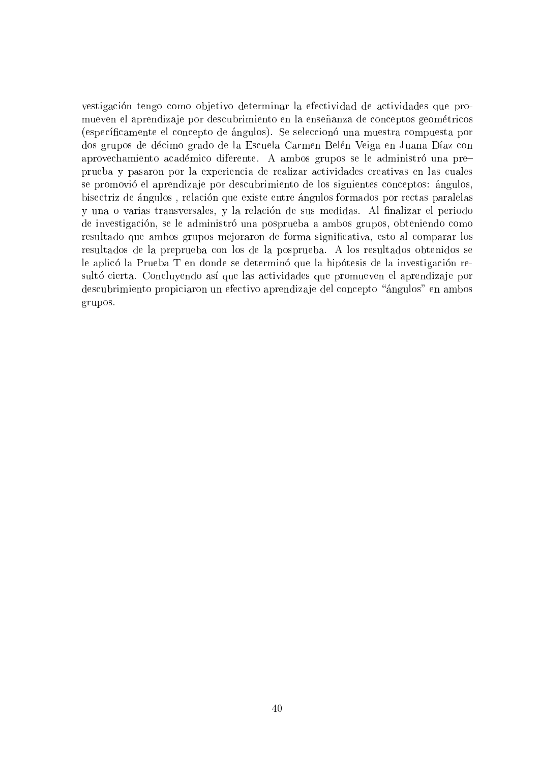vestigación tengo como objetivo determinar la efectividad de actividades que promueven el aprendizaje por descubrimiento en la enseñanza de conceptos geométricos (específicamente el concepto de ángulos). Se seleccionó una muestra compuesta por dos grupos de décimo grado de la Escuela Carmen Belén Veiga en Juana Díaz con aprovechamiento académico diferente. A ambos grupos se le administró una preprueba y pasaron por la experiencia de realizar actividades creativas en las cuales se promovio el aprendiza je por descubrimiento de los siguientes conceptos: angulos, bisectriz de angulos , relacion que existe entre angulos formados por rectas paralelas y una o varias transversales, y la relación de sus medidas. Al finalizar el periodo de investigación, se le administró una posprueba a ambos grupos, obteniendo como resultado que ambos grupos mejoraron de forma signicativa, esto al comparar los resultados de la preprueba con los de la posprueba. A los resultados obtenidos se le aplicó la Prueba T en donde se determinó que la hipótesis de la investigación resultó cierta. Concluyendo así que las actividades que promueven el aprendizaje por descubrimiento propiciaron un efectivo aprendiza je del concepto \angulos" en ambos grupos.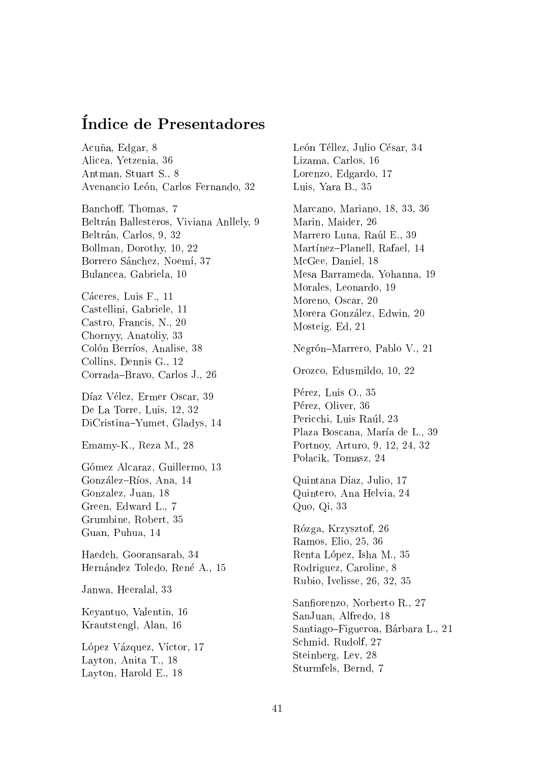## Indice de Presentadores

Acuña, Edgar, 8 Alicea, Yetzenia, 36 Antman, Stuart S., 8 Avenancio León, Carlos Fernando, 32 Banchoff, Thomas, 7 Beltrán Ballesteros, Viviana Anllely, 9 Beltrán, Carlos, 9, 32 Bollman, Dorothy, 10, 22 Borrero Sánchez, Noemí, 37 Bulancea, Gabriela, 10 Cáceres, Luis F., 11 Castellini, Gabriele, 11 Castro, Francis, N., 20 Chornyy, Anatoliy, 33 Colón Berríos, Analise, 38 Collins, Dennis G., 12 Corrada-Bravo, Carlos J., 26 Díaz Vélez, Ermer Oscar, 39 De La Torre, Luis, 12, 32 DiCristina-Yumet, Gladys, 14 Emamy-K., Reza M., 28 Gómez Alcaraz, Guillermo, 13 González-Ríos, Ana, 14 Gonzalez, Juan, 18 Green, Edward L., 7 Grumbine, Robert, 35 Guan, Puhua, 14 Haedeh, Gooransarab, 34 Hernández Toledo, René A., 15 Janwa, Heeralal, 33 Keyantuo, Valentin, 16 Krautstengl, Alan, 16 López Vázquez, Víctor, 17 Layton, Anita T., 18 Layton, Harold E., 18

León Téllez, Julio César, 34 Lizama, Carlos, 16 Lorenzo, Edgardo, 17 Luis, Yara B., 35 Marcano, Mariano, 18, 33, 36 Marin, Maider, 26 Marrero Luna, Raúl E., 39 Martínez-Planell, Rafael, 14 McGee, Daniel, 18 Mesa Barrameda, Yohanna, 19 Morales, Leonardo, 19 Moreno, Oscar, 20 Morera Gonzalez, Edwin, 20 Mosteig, Ed, 21 Negrón-Marrero, Pablo V., 21 Orozco, Edusmildo, 10, 22 Pérez, Luis O., 35 Pérez, Oliver, 36 Pericchi, Luis Raúl, 23 Plaza Boscana, María de L., 39 Portnoy, Arturo, 9, 12, 24, 32 Połacik, Tomasz, 24 Quintana Díaz, Julio, 17 Quintero, Ana Helvia, 24 Quo, Qi, 33 Rozga, Krzysztof, 26 Ramos, Elio, 25, 36 Renta Lopez, Isha M., 35 Rodriguez, Caroline, 8 Rubio, Ivelisse, 26, 32, 35 Sanfiorenzo, Norberto R., 27 SanJuan, Alfredo, 18 Santiago-Figueroa, Bárbara L., 21 Schmid, Rudolf, 27 Steinberg, Lev, 28 Sturmfels, Bernd, 7